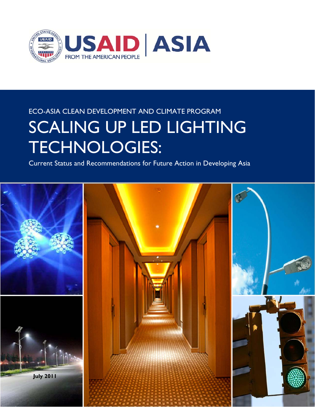

## ECO-ASIA CLEAN DEVELOPMENT AND CLIMATE PROGRAM SCALING UP LED LIGHTING TECHNOLOGIES:

Current Status and Recommendations for Future Action in Developing Asia

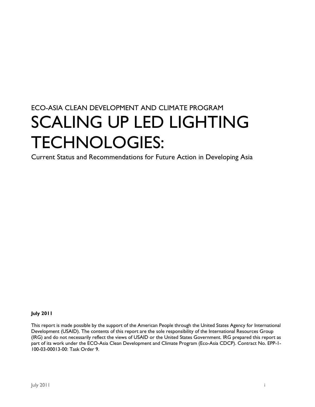### ECO-ASIA CLEAN DEVELOPMENT AND CLIMATE PROGRAM SCALING UP LED LIGHTING TECHNOLOGIES:

Current Status and Recommendations for Future Action in Developing Asia

#### **July 2011**

This report is made possible by the support of the American People through the United States Agency for International Development (USAID). The contents of this report are the sole responsibility of the International Resources Group (IRG) and do not necessarily reflect the views of USAID or the United States Government. IRG prepared this report as part of its work under the ECO-Asia Clean Development and Climate Program (Eco-Asia CDCP). Contract No. EPP-1- 100-03-00013-00: Task Order 9.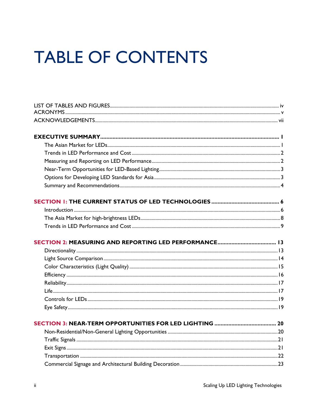# **TABLE OF CONTENTS**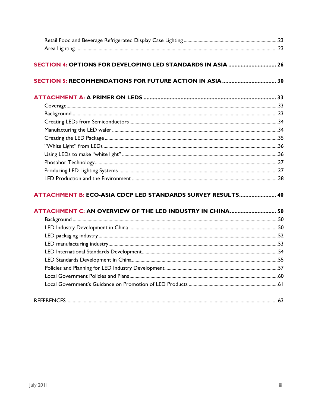| <b>ATTACHMENT B: ECO-ASIA CDCP LED STANDARDS SURVEY RESULTS 40</b> |  |
|--------------------------------------------------------------------|--|
|                                                                    |  |
| ATTACHMENT C: AN OVERVIEW OF THE LED INDUSTRY IN CHINA 50          |  |
|                                                                    |  |
|                                                                    |  |
|                                                                    |  |
|                                                                    |  |
|                                                                    |  |
|                                                                    |  |
|                                                                    |  |
|                                                                    |  |
|                                                                    |  |
|                                                                    |  |
|                                                                    |  |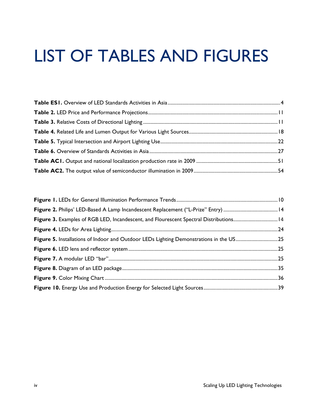# LIST OF TABLES AND FIGURES

| Figure 3. Examples of RGB LED, Incandescent, and Flourescent Spectral Distributions 14 |  |
|----------------------------------------------------------------------------------------|--|
|                                                                                        |  |
| Figure 5. Installations of Indoor and Outdoor LEDs Lighting Demonstrations in the US25 |  |
|                                                                                        |  |
|                                                                                        |  |
|                                                                                        |  |
|                                                                                        |  |
|                                                                                        |  |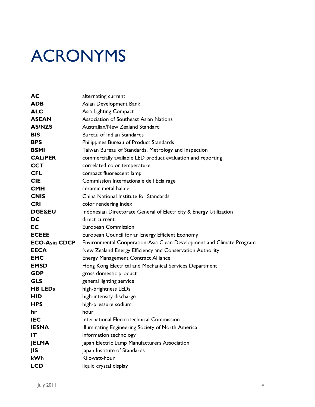# ACRONYMS

| AC                   | alternating current                                                  |
|----------------------|----------------------------------------------------------------------|
| <b>ADB</b>           | Asian Development Bank                                               |
| <b>ALC</b>           | Asia Lighting Compact                                                |
| <b>ASEAN</b>         | Association of Southeast Asian Nations                               |
| <b>AS/NZS</b>        | Australian/New Zealand Standard                                      |
| <b>BIS</b>           | Bureau of Indian Standards                                           |
| <b>BPS</b>           | Philippines Bureau of Product Standards                              |
| <b>BSMI</b>          | Taiwan Bureau of Standards, Metrology and Inspection                 |
| <b>CALIPER</b>       | commercially available LED product evaluation and reporting          |
| <b>CCT</b>           | correlated color temperature                                         |
| <b>CFL</b>           | compact fluorescent lamp                                             |
| <b>CIE</b>           | Commission Internationale de l'Eclairage                             |
| <b>CMH</b>           | ceramic metal halide                                                 |
| <b>CNIS</b>          | China National Institute for Standards                               |
| <b>CRI</b>           | color rendering index                                                |
| <b>DGE&amp;EU</b>    | Indonesian Directorate General of Electricity & Energy Utilization   |
| DC                   | direct current                                                       |
| EC                   | <b>European Commission</b>                                           |
| <b>ECEEE</b>         | European Council for an Energy Efficient Economy                     |
| <b>ECO-Asia CDCP</b> | Environmental Cooperation-Asia Clean Development and Climate Program |
| <b>EECA</b>          | New Zealand Energy Efficiency and Conservation Authority             |
| <b>EMC</b>           | <b>Energy Management Contract Alliance</b>                           |
| <b>EMSD</b>          | Hong Kong Electrical and Mechanical Services Department              |
| <b>GDP</b>           | gross domestic product                                               |
| <b>GLS</b>           | general lighting service                                             |
| <b>HB LEDs</b>       | high-brightness LEDs                                                 |
| <b>HID</b>           | high-intensity discharge                                             |
| <b>HPS</b>           | high-pressure sodium                                                 |
| hr                   | hour                                                                 |
| <b>IEC</b>           | International Electrotechnical Commission                            |
| <b>IESNA</b>         | Illuminating Engineering Society of North America                    |
| IT                   | information technology                                               |
| <b>JELMA</b>         | Japan Electric Lamp Manufacturers Association                        |
| JIS                  | Japan Institute of Standards                                         |
| kWh                  | Kilowatt-hour                                                        |
| <b>LCD</b>           | liquid crystal display                                               |
|                      |                                                                      |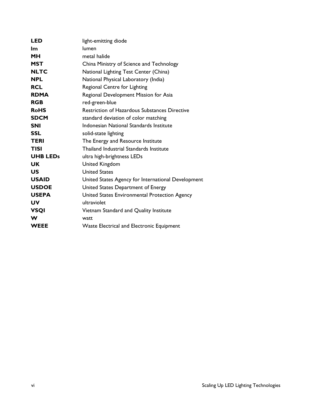| LED             | light-emitting diode                                 |
|-----------------|------------------------------------------------------|
| lm.             | lumen                                                |
| MН              | metal halide                                         |
| <b>MST</b>      | China Ministry of Science and Technology             |
| <b>NLTC</b>     | National Lighting Test Center (China)                |
| <b>NPL</b>      | National Physical Laboratory (India)                 |
| <b>RCL</b>      | Regional Centre for Lighting                         |
| <b>RDMA</b>     | Regional Development Mission for Asia                |
| <b>RGB</b>      | red-green-blue                                       |
| <b>RoHS</b>     | <b>Restriction of Hazardous Substances Directive</b> |
| <b>SDCM</b>     | standard deviation of color matching                 |
| <b>SNI</b>      | Indonesian National Standards Institute              |
| <b>SSL</b>      | solid-state lighting                                 |
| <b>TERI</b>     | The Energy and Resource Institute                    |
| <b>TISI</b>     | <b>Thailand Industrial Standards Institute</b>       |
| <b>UHB LEDs</b> | ultra high-brightness LEDs                           |
| UK.             | <b>United Kingdom</b>                                |
| <b>US</b>       | <b>United States</b>                                 |
| <b>USAID</b>    | United States Agency for International Development   |
| <b>USDOE</b>    | United States Department of Energy                   |
| <b>USEPA</b>    | United States Environmental Protection Agency        |
| <b>UV</b>       | ultraviolet                                          |
| <b>VSQI</b>     | Vietnam Standard and Quality Institute               |
| W               | watt                                                 |
| <b>WEEE</b>     | <b>Waste Electrical and Electronic Equipment</b>     |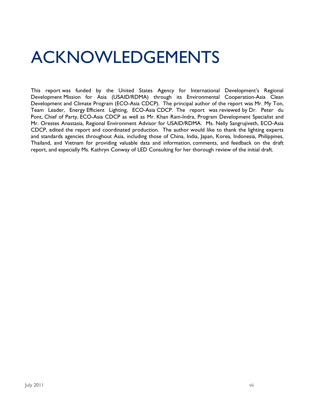# ACKNOWLEDGEMENTS

This report was funded by the United States Agency for International Development's Regional Development Mission for Asia (USAID/RDMA) through its Environmental Cooperation-Asia Clean Development and Climate Program (ECO-Asia CDCP). The principal author of the report was Mr. My Ton, Team Leader, Energy Efficient Lighting, ECO-Asia CDCP. The report was reviewed by Dr. Peter du Pont, Chief of Party, ECO-Asia CDCP as well as Mr. Khan Ram-Indra, Program Development Specialist and Mr. Orestes Anastasia, Regional Environment Advisor for USAID/RDMA. Ms. Nelly Sangrujiveth, ECO-Asia CDCP, edited the report and coordinated production. The author would like to thank the lighting experts and standards agencies throughout Asia, including those of China, India, Japan, Korea, Indonesia, Philippines, Thailand, and Vietnam for providing valuable data and information, comments, and feedback on the draft report, and especially Ms. Kathryn Conway of LED Consulting for her thorough review of the initial draft.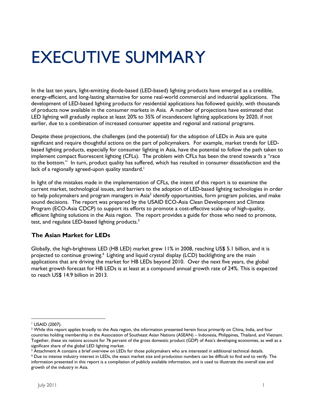# EXECUTIVE SUMMARY

In the last ten years, light-emitting diode-based (LED-based) lighting products have emerged as a credible, energy-efficient, and long-lasting alternative for some real-world commercial and industrial applications. The development of LED-based lighting products for residential applications has followed quickly, with thousands of products now available in the consumer markets in Asia. A number of projections have estimated that LED lighting will gradually replace at least 20% to 35% of incandescent lighting applications by 2020, if not earlier, due to a combination of increased consumer appetite and regional and national programs.

Despite these projections, the challenges (and the potential) for the adoption of LEDs in Asia are quite significant and require thoughtful actions on the part of policymakers. For example, market trends for LEDbased lighting products, especially for consumer lighting in Asia, have the potential to follow the path taken to implement compact fluorescent lighting (CFLs). The problem with CFLs has been the trend towards a "race to the bottom." In turn, product quality has suffered, which has resulted in consumer dissatisfaction and the lack of a regionally agreed-upon quality standard.<sup>1</sup>

In light of the mistakes made in the implementation of CFLs, the intent of this report is to examine the current market, technological issues, and barriers to the adoption of LED-based lighting technologies in order to help policymakers and program managers in Asia $^2$  identify opportunities, form program policies, and make sound decisions. The report was prepared by the USAID ECO-Asia Clean Development and Climate Program (ECO-Asia CDCP) to support its efforts to promote a cost-effective scale-up of high-quality, efficient lighting solutions in the Asia region. The report provides a guide for those who need to promote, test, and regulate LED-based lighting products.<sup>3</sup>

### **The Asian Market for LEDs**

Globally, the high-brightness LED (HB LED) market grew 11% in 2008, reaching US\$ 5.1 billion, and it is projected to continue growing.4 Lighting and liquid crystal display (LCD) backlighting are the main applications that are driving the market for HB LEDs beyond 2010. Over the next five years, the global market growth forecast for HB LEDs is at least at a compound annual growth rate of 24%. This is expected to reach US\$ 14.9 billion in 2013.

 $^3$  Attachment A contains a brief overview on LEDs for those policymakers who are interested in additional technical details.<br><sup>4</sup> Due to intense industry interest in LEDs, the exact market size and production numbers can

 1 USAID (2007).

 $^2$  While this report applies broadly to the Asia region, the information presented herein focus primarily on China, India, and four countries holding membership in the Association of Southeast Asian Nations (ASEAN) – Indonesia, Philippines, Thailand, and Vietnam. Together, these six nations account for 76 percent of the gross domestic product (GDP) of Asia's developing economies, as well as a significant share of the global LED lighting market.

Due to intense industry interest in LEDs, the exact market size and production numbers can be difficult to find and to verify. The information presented in this report is a compilation of publicly available information, and is used to illustrate the overall size and growth of the industry in Asia.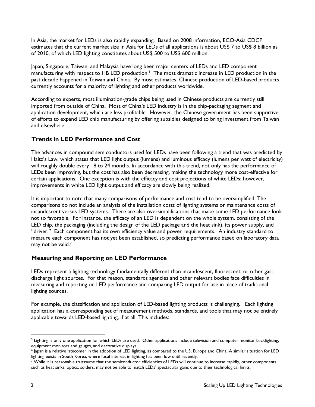In Asia, the market for LEDs is also rapidly expanding. Based on 2008 information, ECO-Asia CDCP estimates that the current market size in Asia for LEDs of all applications is about US\$ 7 to US\$ 8 billion as of 2010, of which LED lighting constitutes about US\$ 500 to US\$ 600 million.<sup>5</sup>

Japan, Singapore, Taiwan, and Malaysia have long been major centers of LEDs and LED component manufacturing with respect to HB LED production.<sup>6</sup> The most dramatic increase in LED production in the past decade happened in Taiwan and China. By most estimates, Chinese production of LED-based products currently accounts for a majority of lighting and other products worldwide.

According to experts, most illumination-grade chips being used in Chinese products are currently still imported from outside of China. Most of China's LED industry is in the chip-packaging segment and application development, which are less profitable. However, the Chinese government has been supportive of efforts to expand LED chip manufacturing by offering subsidies designed to bring investment from Taiwan and elsewhere.

### **Trends in LED Performance and Cost**

The advances in compound semiconductors used for LEDs have been following a trend that was predicted by Haitz's Law, which states that LED light output (lumens) and luminous efficacy (lumens per watt of electricity) will roughly double every 18 to 24 months. In accordance with this trend, not only has the performance of LEDs been improving, but the cost has also been decreasing, making the technology more cost-effective for certain applications. One exception is with the efficacy and cost projections of white LEDs; however, improvements in white LED light output and efficacy are slowly being realized.

It is important to note that many comparisons of performance and cost tend to be oversimplified. The comparisons do not include an analysis of the installation costs of lighting systems or maintenance costs of incandescent versus LED systems. There are also oversimplifications that make some LED performance look not so favorable. For instance, the efficacy of an LED is dependent on the whole system, consisting of the LED chip, the packaging (including the design of the LED package and the heat sink), its power supply, and "driver." Each component has its own efficiency value and power requirements. An industry standard to measure each component has not yet been established, so predicting performance based on laboratory data may not be valid. $<sup>7</sup>$ </sup>

### **Measuring and Reporting on LED Performance**

LEDs represent a lighting technology fundamentally different than incandescent, fluorescent, or other gasdischarge light sources. For that reason, standards agencies and other relevant bodies face difficulties in measuring and reporting on LED performance and comparing LED output for use in place of traditional lighting sources.

For example, the classification and application of LED-based lighting products is challenging. Each lighting application has a corresponding set of measurement methods, standards, and tools that may not be entirely applicable towards LED-based lighting, if at all. This includes:

<sup>-</sup> $^5$  Lighting is only one application for which LEDs are used. Other applications include television and computer monitor backlighting, equipment monitors and gauges, and decorative displays.

 $^6$  Japan is a relative latecomer in the adoption of LED lighting, as compared to the US, Europe and China. A similar situation for LED lighting exists in South Korea, where local interest in lighting has been low until recently.

 $^7$  While it is reasonable to assume that the semiconductor efficiencies of LEDs will continue to increase rapidly, other components such as heat sinks, optics, solders, may not be able to match LEDs' spectacular gains due to their technological limits.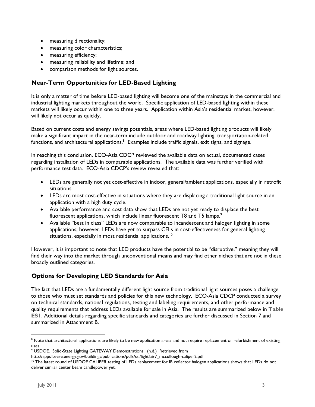- measuring directionality;
- measuring color characteristics;
- measuring efficiency;
- measuring reliability and lifetime; and
- comparison methods for light sources.

### **Near-Term Opportunities for LED-Based Lighting**

It is only a matter of time before LED-based lighting will become one of the mainstays in the commercial and industrial lighting markets throughout the world. Specific application of LED-based lighting within these markets will likely occur within one to three years. Application within Asia's residential market, however, will likely not occur as quickly.

Based on current costs and energy savings potentials, areas where LED-based lighting products will likely make a significant impact in the near-term include outdoor and roadway lighting, transportation-related functions, and architectural applications. $^8\,$  Examples include traffic signals, exit signs, and signage.

In reaching this conclusion, ECO-Asia CDCP reviewed the available data on actual, documented cases regarding installation of LEDs in comparable applications. The available data was further verified with performance test data. ECO-Asia CDCP's review revealed that:

- LEDs are generally not yet cost-effective in indoor, general/ambient applications, especially in retrofit situations.
- LEDs are most cost-effective in situations where they are displacing a traditional light source in an application with a high duty cycle.
- Available performance and cost data show that LEDs are not yet ready to displace the best fluorescent applications, which include linear fluorescent T8 and T5 lamps.<sup>9</sup>
- Available "best in class" LEDs are now comparable to incandescent and halogen lighting in some applications; however, LEDs have yet to surpass CFLs in cost-effectiveness for general lighting situations, especially in most residential applications.<sup>10</sup>

However, it is important to note that LED products have the potential to be "disruptive," meaning they will find their way into the market through unconventional means and may find other niches that are not in these broadly outlined categories.

### **Options for Developing LED Standards for Asia**

The fact that LEDs are a fundamentally different light source from traditional light sources poses a challenge to those who must set standards and policies for this new technology. ECO-Asia CDCP conducted a survey on technical standards, national regulations, testing and labeling requirements, and other performance and quality requirements that address LEDs available for sale in Asia. The results are summarized below in **Table ES1**. Additional details regarding specific standards and categories are further discussed in Section 7 and summarized in Attachment B.

-

 $8$  Note that architectural applications are likely to be new application areas and not require replacement or refurbishment of existing uses.

<sup>9</sup> USDOE. Solid-State Lighting GATEWAY Demonstrations. (n.d.) Retrieved from

http://apps1.eere.energy.gov/buildings/publications/pdfs/ssl/lightfair7\_mccullough-caliper2.pdf.<br><sup>10</sup> The latest round of USDOE CALIPER testing of LEDs replacement for IR reflector halogen applications shows that LEDs do n deliver similar center beam candlepower yet.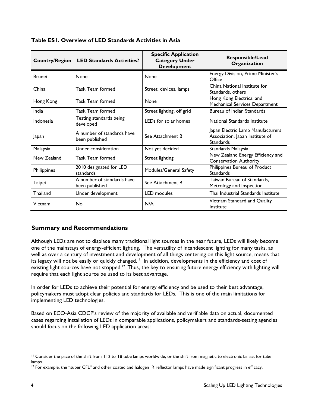| <b>Country/Region</b> | <b>LED Standards Activities?</b>             | <b>Specific Application</b><br><b>Category Under</b><br><b>Development</b> | <b>Responsible/Lead</b><br>Organization                                                  |
|-----------------------|----------------------------------------------|----------------------------------------------------------------------------|------------------------------------------------------------------------------------------|
| <b>Brunei</b>         | None                                         | <b>None</b>                                                                | Energy Division, Prime Minister's<br>Office                                              |
| China                 | <b>Task Team formed</b>                      | Street, devices, lamps                                                     | China National Institute for<br>Standards, others                                        |
| Hong Kong             | <b>Task Team formed</b>                      | None                                                                       | Hong Kong Electrical and<br>Mechanical Services Department                               |
| India                 | <b>Task Team formed</b>                      | Street lighting, off grid                                                  | Bureau of Indian Standards                                                               |
| Indonesia             | Testing standards being<br>developed         | LEDs for solar homes                                                       | National Standards Institute                                                             |
| Japan                 | A number of standards have<br>been published | See Attachment B                                                           | Japan Electric Lamp Manufacturers<br>Association, Japan Institute of<br><b>Standards</b> |
| Malaysia              | Under consideration                          | Not yet decided                                                            | Standards Malaysia                                                                       |
| New Zealand           | <b>Task Team formed</b>                      | Street lighting                                                            | New Zealand Energy Efficiency and<br><b>Conservation Authority</b>                       |
| Philippines           | 2010 designated for LED<br>standards         | Modules/General Safety                                                     | Philippines Bureau of Product<br><b>Standards</b>                                        |
| Taipei                | A number of standards have<br>been published | See Attachment B                                                           | Taiwan Bureau of Standards,<br>Metrology and Inspection                                  |
| Thailand              | Under development                            | <b>LED</b> modules                                                         | Thai Industrial Standards Institute                                                      |
| Vietnam               | No                                           | N/A                                                                        | Vietnam Standard and Quality<br>Institute                                                |

**Table ES1. Overview of LED Standards Activities in Asia** 

### **Summary and Recommendations**

Although LEDs are not to displace many traditional light sources in the near future, LEDs will likely become one of the mainstays of energy-efficient lighting. The versatility of incandescent lighting for many tasks, as well as over a century of investment and development of all things centering on this light source, means that its legacy will not be easily or quickly changed.<sup>11</sup> In addition, developments in the efficiency and cost of existing light sources have not stopped.<sup>12</sup> Thus, the key to ensuring future energy efficiency with lighting will require that each light source be used to its best advantage.

In order for LEDs to achieve their potential for energy efficiency and be used to their best advantage, policymakers must adopt clear policies and standards for LEDs. This is one of the main limitations for implementing LED technologies.

Based on ECO-Asia CDCP's review of the majority of available and verifiable data on actual, documented cases regarding installation of LEDs in comparable applications, policymakers and standards-setting agencies should focus on the following LED application areas:

-

<sup>&</sup>lt;sup>11</sup> Consider the pace of the shift from T12 to T8 tube lamps worldwide, or the shift from magnetic to electronic ballast for tube lamps.

<sup>&</sup>lt;sup>12</sup> For example, the "super CFL" and other coated and halogen IR reflector lamps have made significant progress in efficacy.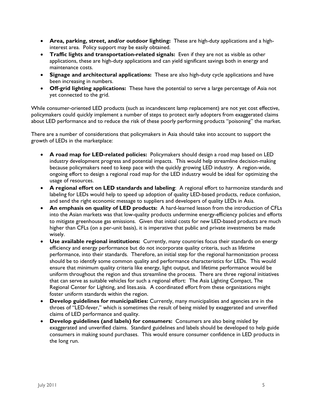- **Area, parking, street, and/or outdoor lighting:** These are high-duty applications and a highinterest area. Policy support may be easily obtained.
- **Traffic lights and transportation-related signals:** Even if they are not as visible as other applications, these are high-duty applications and can yield significant savings both in energy and maintenance costs.
- **Signage and architectural applications:** These are also high-duty cycle applications and have been increasing in numbers.
- **Off-grid lighting applications:** These have the potential to serve a large percentage of Asia not yet connected to the grid.

While consumer-oriented LED products (such as incandescent lamp replacement) are not yet cost effective, policymakers could quickly implement a number of steps to protect early adopters from exaggerated claims about LED performance and to reduce the risk of these poorly performing products "poisoning" the market.

There are a number of considerations that policymakers in Asia should take into account to support the growth of LEDs in the marketplace:

- **A road map for LED-related policies:** Policymakers should design a road map based on LED industry development progress and potential impacts. This would help streamline decision-making because policymakers need to keep pace with the quickly growing LED industry. A region-wide, ongoing effort to design a regional road map for the LED industry would be ideal for optimizing the usage of resources.
- **A regional effort on LED standards and labeling**: A regional effort to harmonize standards and labeling for LEDs would help to speed up adoption of quality LED-based products, reduce confusion, and send the right economic message to suppliers and developers of quality LEDs in Asia.
- **An emphasis on quality of LED products:** A hard-learned lesson from the introduction of CFLs into the Asian markets was that low-quality products undermine energy-efficiency policies and efforts to mitigate greenhouse gas emissions. Given that initial costs for new LED-based products are much higher than CFLs (on a per-unit basis), it is imperative that public and private investments be made wisely.
- **Use available regional institutions:** Currently, many countries focus their standards on energy efficiency and energy performance but do not incorporate quality criteria, such as lifetime performance, into their standards. Therefore, an initial step for the regional harmonization process should be to identify some common quality and performance characteristics for LEDs. This would ensure that minimum quality criteria like energy, light output, and lifetime performance would be uniform throughout the region and thus streamline the process. There are three regional initiatives that can serve as suitable vehicles for such a regional effort: The Asia Lighting Compact, The Regional Center for Lighting, and lites.asia. A coordinated effort from these organizations might foster uniform standards within the region.
- **Develop guidelines for municipalities:** Currently, many municipalities and agencies are in the throes of "LED-fever," which is sometimes the result of being misled by exaggerated and unverified claims of LED performance and quality.
- **Develop guidelines (and labels) for consumers:** Consumers are also being misled by exaggerated and unverified claims. Standard guidelines and labels should be developed to help guide consumers in making sound purchases. This would ensure consumer confidence in LED products in the long run.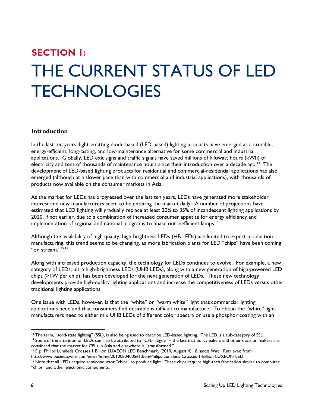# **SECTION 1:**  THE CURRENT STATUS OF LED **TECHNOLOGIES**

#### **Introduction**

In the last ten years, light-emitting diode-based (LED-based) lighting products have emerged as a credible, energy-efficient, long-lasting, and low-maintenance alternative for some commercial and industrial applications. Globally, LED exit signs and traffic signals have saved millions of kilowatt hours (kWh) of electricity and tens of thousands of maintenance hours since their introduction over a decade ago.<sup>13</sup> The development of LED-based lighting products for residential and commercial-residential applications has also emerged (although at a slower pace than with commercial and industrial applications), with thousands of products now available on the consumer markets in Asia.

As the market for LEDs has progressed over the last ten years, LEDs have generated more stakeholder interest and new manufacturers seem to be entering the market daily. A number of projections have estimated that LED lighting will gradually replace at least 20% to 35% of incandescent lighting applications by 2020, if not earlier, due to a combination of increased consumer appetite for energy efficiency and implementation of regional and national programs to phase out inefficient lamps.<sup>14</sup>

Although the availability of high quality, high-brightness LEDs (HB LEDs) are limited to expert-production manufacturing, this trend seems to be changing, as more fabrication plants for LED "chips" have been coming "on stream."<sup>15 16</sup>

Along with increased production capacity, the technology for LEDs continues to evolve. For example, a new category of LEDs, ultra high-brightness LEDs (UHB LEDs), along with a new generation of high-powered LED chips (>1W per chip), has been developed for the next generation of LEDs. These new technology developments provide high-quality lighting applications and increase the competitiveness of LEDs versus other traditional lighting applications.

One issue with LEDs, however, is that the "white" or "warm white" light that commercial lighting applications need and that consumers find desirable is difficult to manufacture. To obtain the "white" light, manufacturers need to either mix UHB LEDs of different color spectra or use a phosphor coating with an

 $14$  Some of the attention on LEDs can also be attributed to "CFL-fatigue" – the fact that policymakers and other decision makers are convinced that the market for CFLs in Asia and elsewhere is "transformed."

<sup>15</sup> E.g., Philips Lumileds Crosses 1 Billion LUXEON LED Benchmark. (2010, August 4). *Business Wire*. Retrieved from<br>http://www.businesswire.com/news/home/20100804005613/en/Philips-Lumileds-Crosses-1-Billion-LUXEON-LED.

<sup>-</sup><sup>13</sup> The term, "solid-state lighting" (SSL), is also being used to describe LED-based lighting. The LED is a sub-category of SSL.

<sup>&</sup>lt;sup>16</sup> Note that all LEDs require semiconductor "chips" to produce light. These chips require high-tech fabrication similar to computer "chips" and other electronic components.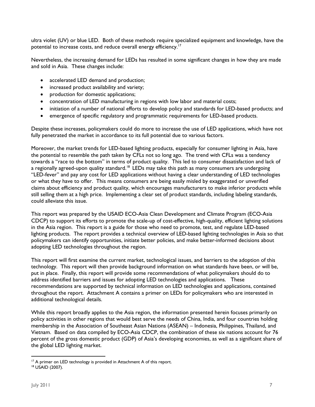ultra violet (UV) or blue LED. Both of these methods require specialized equipment and knowledge, have the potential to increase costs, and reduce overall energy efficiency.<sup>17</sup>

Nevertheless, the increasing demand for LEDs has resulted in some significant changes in how they are made and sold in Asia. These changes include:

- accelerated LED demand and production;
- increased product availability and variety;
- production for domestic applications;
- concentration of LED manufacturing in regions with low labor and material costs;
- initiation of a number of national efforts to develop policy and standards for LED-based products; and
- emergence of specific regulatory and programmatic requirements for LED-based products.

Despite these increases, policymakers could do more to increase the use of LED applications, which have not fully penetrated the market in accordance to its full potential due to various factors.

Moreover, the market trends for LED-based lighting products, especially for consumer lighting in Asia, have the potential to resemble the path taken by CFLs not so long ago. The trend with CFLs was a tendency towards a "race to the bottom" in terms of product quality. This led to consumer dissatisfaction and lack of a regionally agreed-upon quality standard.<sup>18</sup> LEDs may take this path as many consumers are undergoing "LED-fever" and pay any cost for LED applications without having a clear understanding of LED technologies or what they have to offer. This means consumers are being easily misled by exaggerated or unverified claims about efficiency and product quality, which encourages manufacturers to make inferior products while still selling them at a high price. Implementing a clear set of product standards, including labeling standards, could alleviate this issue.

This report was prepared by the USAID ECO-Asia Clean Development and Climate Program (ECO-Asia CDCP) to support its efforts to promote the scale-up of cost-effective, high-quality, efficient lighting solutions in the Asia region. This report is a guide for those who need to promote, test, and regulate LED-based lighting products. The report provides a technical overview of LED-based lighting technologies in Asia so that policymakers can identify opportunities, initiate better policies, and make better-informed decisions about adopting LED technologies throughout the region.

This report will first examine the current market, technological issues, and barriers to the adoption of this technology. This report will then provide background information on what standards have been, or will be, put in place. Finally, this report will provide some recommendations of what policymakers should do to address identified barriers and issues for adopting LED technologies and applications. These recommendations are supported by technical information on LED technologies and applications, contained throughout the report. Attachment A contains a primer on LEDs for policymakers who are interested in additional technological details.

While this report broadly applies to the Asia region, the information presented herein focuses primarily on policy activities in other regions that would best serve the needs of China, India, and four countries holding membership in the Association of Southeast Asian Nations (ASEAN) – Indonesia, Philippines, Thailand, and Vietnam. Based on data compiled by ECO-Asia CDCP, the combination of these six nations account for 76 percent of the gross domestic product (GDP) of Asia's developing economies, as well as a significant share of the global LED lighting market.

 <sup>17</sup> A primer on LED technology is provided in Attachment A of this report.<br><sup>18</sup> USAID (2007).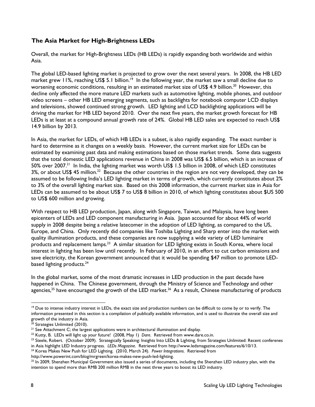### **The Asia Market for High-Brightness LEDs**

Overall, the market for High-Brightness LEDs (HB LEDs) is rapidly expanding both worldwide and within Asia.

The global LED-based lighting market is projected to grow over the next several years. In 2008, the HB LED market grew 11%, reaching US\$ 5.1 billion.<sup>19</sup> In the following year, the market saw a small decline due to worsening economic conditions, resulting in an estimated market size of US\$ 4.9 billion.<sup>20</sup> However, this decline only affected the more mature LED markets such as automotive lighting, mobile phones, and outdoor video screens – other HB LED emerging segments, such as backlights for notebook computer LCD displays and televisions, showed continued strong growth. LED lighting and LCD backlighting applications will be driving the market for HB LED beyond 2010. Over the next five years, the market growth forecast for HB LEDs is at least at a compound annual growth rate of 24%. Global HB LED sales are expected to reach US\$ 14.9 billion by 2013.

In Asia, the market for LEDs, of which HB LEDs is a subset, is also rapidly expanding. The exact number is hard to determine as it changes on a weekly basis. However, the current market size for LEDs can be estimated by examining past data and making estimations based on those market trends. Some data suggests that the total domestic LED applications revenue in China in 2008 was US\$ 6.5 billion, which is an increase of 50% over 2007.<sup>21</sup> In India, the lighting market was worth US\$ 1.5 billion in 2008, of which LED constitutes 3%, or about US\$ 45 million.<sup>22</sup> Because the other countries in the region are not very developed, they can be assumed to be following India's LED lighting market in terms of growth, which currently constitutes about 2% to 3% of the overall lighting market size. Based on this 2008 information, the current market size in Asia for LEDs can be assumed to be about US\$ 7 to US\$ 8 billion in 2010, of which lighting constitutes about \$US 500 to US\$ 600 million and growing.

With respect to HB LED production, Japan, along with Singapore, Taiwan, and Malaysia, have long been epicenters of LEDs and LED component manufacturing in Asia. Japan accounted for about 44% of world supply in 2008 despite being a relative latecomer in the adoption of LED lighting, as compared to the US, Europe, and China. Only recently did companies like Toshiba Lighting and Sharp enter into the market with quality illumination products, and these companies are now supplying a wide variety of LED luminaire products and replacement lamps.<sup>23</sup> A similar situation for LED lighting exists in South Korea, where local interest in lighting has been low until recently. In February of 2010, in an effort to cut carbon emissions and save electricity, the Korean government announced that it would be spending \$47 million to promote LEDbased lighting products.<sup>24</sup>

In the global market, some of the most dramatic increases in LED production in the past decade have happened in China. The Chinese government, through the Ministry of Science and Technology and other agencies,<sup>25</sup> have encouraged the growth of the LED market.<sup>26</sup> As a result, Chinese manufacturing of products

-

<sup>&</sup>lt;sup>19</sup> Due to intense industry interest in LEDs, the exact size and production numbers can be difficult to come by or to verify. The information presented in this section is a compilation of publically available information, and is used to illustrate the overall size and growth of the industry in Asia.

<sup>&</sup>lt;sup>20</sup> Strategies Unlimited (2010).

<sup>&</sup>lt;sup>21</sup> See Attachment C; the largest applications were in architectural illumination and display.<br><sup>22</sup> Kutty, B. LEDs will light up your future! (2008, May 1) Dare. Retrieved from www.dare.co.in.

<sup>&</sup>lt;sup>23</sup> Steele, Robert. (October 2009). Strategically Speaking: Insights Into LEDs & Lighting, from Strategies Unlimited: Recent conferenes

in Asia highlight LED Industry progress. LEDs Magazine. Retrieved from http://www.ledsmagazine.com/features/6/10/13.<br><sup>24</sup> Korea Makes New Push for LED Lighting. (2010, March 24). Power Integrations. Retrieved from

http://www.powerint.com/blog/mrgreen/korea-makes-new-push-led-lighting.<br><sup>25</sup> In 2009, Shenzhen Municipal Government also issued a series of documents, including the Shenzhen LED industry plan, with the intention to spend more than RMB 200 million RMB in the next three years to boost its LED industry.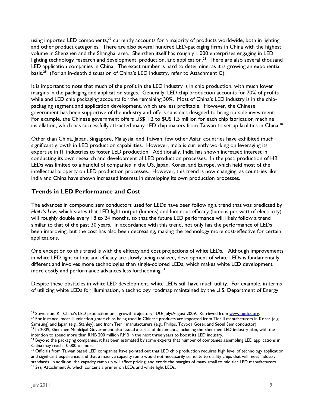using imported LED components,  $27$  currently accounts for a majority of products worldwide, both in lighting and other product categories. There are also several hundred LED-packaging firms in China with the highest volume in Shenzhen and the Shanghai area. Shenzhen itself has roughly 1,000 enterprises engaging in LED lighting technology research and development, production, and application.<sup>28</sup> There are also several thousand LED application companies in China. The exact number is hard to determine, as it is growing an exponential basis.<sup>29</sup> (For an in-depth discussion of China's LED industry, refer to Attachment C).

It is important to note that much of the profit in the LED industry is in chip production, with much lower margins in the packaging and application stages. Generally, LED chip production accounts for 70% of profits while and LED chip packaging accounts for the remaining 30%. Most of China's LED industry is in the chippackaging segment and application development, which are less profitable. However, the Chinese government has been supportive of the industry and offers subsidies designed to bring outside investment. For example, the Chinese government offers US\$ 1.2 to \$US 1.5 million for each chip fabrication machine installation, which has successfully attracted many LED chip makers from Taiwan to set up facilities in China.<sup>30</sup>

Other than China, Japan, Singapore, Malaysia, and Taiwan, few other Asian countries have exhibited much significant growth in LED production capabilities. However, India is currently working on leveraging its expertise in IT industries to foster LED production. Additionally, India has shown increased interest in conducting its own research and development of LED production processes. In the past, production of HB LEDs was limited to a handful of companies in the US, Japan, Korea, and Europe, which held most of the intellectual property on LED production processes. However, this trend is now changing, as countries like India and China have shown increased interest in developing its own production processes.

#### **Trends in LED Performance and Cost**

The advances in compound semiconductors used for LEDs have been following a trend that was predicted by *Haitz's Law*, which states that LED light output (lumens) and luminous efficacy (lumens per watt of electricity) will roughly double every 18 to 24 months, so that the future LED performance will likely follow a trend similar to that of the past 30 years. In accordance with this trend, not only has the performance of LEDs been improving, but the cost has also been decreasing, making the technology more cost-effective for certain applications.

One exception to this trend is with the efficacy and cost projections of white LEDs. Although improvements in white LED light output and efficacy are slowly being realized, development of white LEDs is fundamentally different and involves more technologies than single-colored LEDs, which makes white LED development more costly and performance advances less forthcoming. 31

Despite these obstacles in white LED development, white LEDs still have much utility. For example, in terms of utilizing white LEDs for illumination, a technology roadmap maintained by the U.S. Department of Energy

intention to spend more than RMB 200 million RMB in the next three years to boost its LED industry.

<sup>&</sup>lt;sup>26</sup> Stevenson, R. China's LED production on a growth trajectory. *OLE* July/August 2009. Retrieved from <u>www.optics.org</u>.<br><sup>27</sup> For instance, most illumination-grade chips being used in Chinese products are imported from

Samsung) and Japan (e.g., Stanley), and from Tier I manufacturers (e.g., Philips, Toyoda Gosei, and Seoul Semiconductor).<br><sup>28</sup> In 2009, Shenzhen Municipal Government also issued a series of documents, including the Shenzhe

 $29$  Beyond the packaging companies, it has been estimated by some experts that number of companies assembling LED applications in China may reach 10,000 or more.

<sup>&</sup>lt;sup>30</sup> Officials from Taiwan based LED companies have pointed out that LED chip production requires high level of technology application and significant experience, and that a massive capacity ramp would not necessarily translate to quality chips that will meet industry standards. In addition, the capacity ramp up will affect pricing, and erode the margins of many small to mid tier LED manufacturers.<br><sup>31</sup> See, Attachment A, which contains a primer on LEDs and white light LEDs.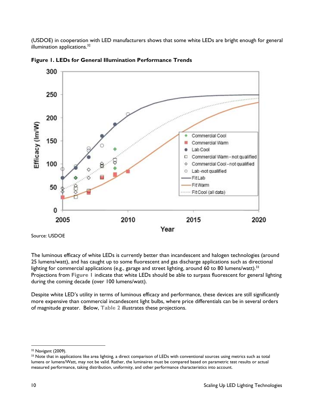(USDOE) in cooperation with LED manufacturers shows that some white LEDs are bright enough for general illumination applications.<sup>32</sup>



**Figure 1. LEDs for General Illumination Performance Trends** 

Source: USDOE

The luminous efficacy of white LEDs is currently better than incandescent and halogen technologies (around 25 lumens/watt), and has caught up to some fluorescent and gas discharge applications such as directional lighting for commercial applications (e.g., garage and street lighting, around 60 to 80 lumens/watt).<sup>33</sup> Projections from **Figure 1** indicate that white LEDs should be able to surpass fluorescent for general lighting during the coming decade (over 100 lumens/watt).

Despite white LED's utility in terms of luminous efficacy and performance, these devices are still significantly more expensive than commercial incandescent light bulbs, where price differentials can be in several orders of magnitude greater. Below, **Table 2** illustrates these projections.

<sup>-</sup>32 Navigant (2009).

<sup>&</sup>lt;sup>33</sup> Note that in applications like area lighting, a direct comparison of LEDs with conventional sources using metrics such as total lumens or lumens/Watt, may not be valid. Rather, the luminaires must be compared based on parametric test results or actual measured performance, taking distribution, uniformity, and other performance characteristics into account.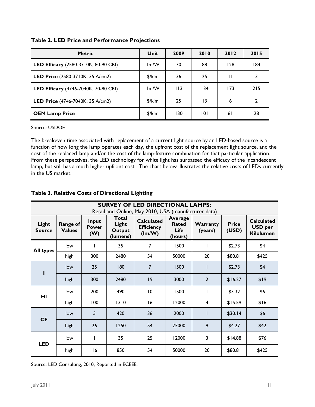| <b>Metric</b>                               | Unit   | 2009 | 2010 | 2012 | 2015 |
|---------------------------------------------|--------|------|------|------|------|
| <b>LED Efficacy</b> (2580-3710K, 80-90 CRI) | lm/W   | 70   | 88   | 128  | 184  |
| <b>LED Price</b> $(2580-3710K; 35 A/cm2)$   | \$/klm | 36   | 25   | П    | 3    |
| <b>LED Efficacy</b> (4746-7040K, 70-80 CRI) | lm/W   | 113  | 134  | 173  | 215  |
| <b>LED Price</b> $(4746 - 7040K; 35 A/cm2)$ | \$/klm | 25   | 13   | 6    | 2    |
| <b>OEM Lamp Price</b>                       | \$/klm | 130  | 101  | 6 I  | 28   |

#### **Table 2. LED Price and Performance Projections**

Source: USDOE

The breakeven time associated with replacement of a current light source by an LED-based source is a function of how long the lamp operates each day, the upfront cost of the replacement light source, and the cost of the replaced lamp and/or the cost of the lamp-fixture combination for that particular application. From these perspectives, the LED technology for white light has surpassed the efficacy of the incandescent lamp, but still has a much higher upfront cost. The chart below illustrates the relative costs of LEDs currently in the US market.

| <b>SURVEY OF LED DIRECTIONAL LAMPS:</b><br>Retail and Online, May 2010, USA (manufacturer data) |                           |                              |                                      |                                                  |                                                   |                     |                       |                                                         |
|-------------------------------------------------------------------------------------------------|---------------------------|------------------------------|--------------------------------------|--------------------------------------------------|---------------------------------------------------|---------------------|-----------------------|---------------------------------------------------------|
| Light<br><b>Source</b>                                                                          | Range of<br><b>Values</b> | Input<br><b>Power</b><br>(W) | Total<br>Light<br>Output<br>(lumens) | <b>Calculated</b><br><b>Efficiency</b><br>(lm/W) | <b>Average</b><br><b>Rated</b><br>Life<br>(hours) | Warranty<br>(years) | <b>Price</b><br>(USD) | <b>Calculated</b><br><b>USD</b> per<br><b>Kilolumen</b> |
| <b>All types</b>                                                                                | low                       |                              | 35                                   | $\overline{7}$                                   | 1500                                              |                     | \$2.73                | \$4                                                     |
|                                                                                                 | high                      | 300                          | 2480                                 | 54                                               | 50000                                             | 20                  | \$80.81               | \$425                                                   |
| ī                                                                                               | low                       | 25                           | 180                                  | $\overline{7}$                                   | 1500                                              |                     | \$2.73                | \$4                                                     |
|                                                                                                 | high                      | 300                          | 2480                                 | 9                                                | 3000                                              | $\overline{2}$      | \$16.27               | \$19                                                    |
| HI                                                                                              | low                       | 200                          | 490                                  | 10                                               | 1500                                              | L                   | \$3.32                | \$6                                                     |
|                                                                                                 | high                      | 100                          | 1310                                 | 16                                               | 12000                                             | 4                   | \$15.59               | \$16                                                    |
| <b>CF</b>                                                                                       | low                       | 5                            | 420                                  | 36                                               | 2000                                              |                     | \$30.14               | \$6                                                     |
|                                                                                                 | high                      | 26                           | 1250                                 | 54                                               | 25000                                             | 9                   | \$4.27                | \$42                                                    |
| <b>LED</b>                                                                                      | low                       | ı                            | 35                                   | 25                                               | 12000                                             | 3                   | \$14.88               | \$76                                                    |
|                                                                                                 | high                      | 16                           | 850                                  | 54                                               | 50000                                             | 20                  | \$80.81               | \$425                                                   |

#### **Table 3. Relative Costs of Directional Lighting**

Source: LED Consulting, 2010, Reported in ECEEE.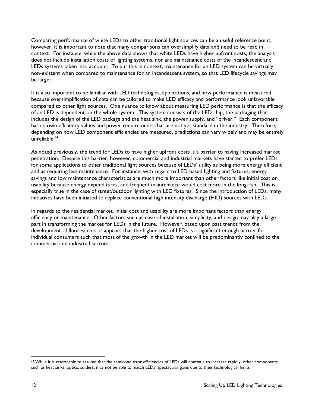Comparing performance of white LEDs to other traditional light sources can be a useful reference point; however, it is important to note that many comparisons can oversimplify data and need to be read in context. For instance, while the above data shows that white LEDs have higher upfront costs, the analysis does not include installation costs of lighting systems, nor are maintenance costs of the incandescent and LEDs systems taken into account. To put this in context, maintenance for an LED system can be virtually non-existent when compared to maintenance for an incandescent system, so that LED lifecycle savings may be larger.

It is also important to be familiar with LED technologies, applications, and how performance is measured because oversimplification of data can be tailored to make LED efficacy and performance look unfavorable compared to other light sources. One nuance to know about measuring LED performance is that the efficacy of an LED is dependent on the whole system. This system consists of the LED chip, the packaging that includes the design of the LED package and the heat sink, the power supply, and "driver." Each component has its own efficiency values and power requirements that are not yet standard in the industry. Therefore, depending on how LED component efficiencies are measured, predictions can vary widely and may be entirely unreliable.34

As noted previously, the trend for LEDs to have higher upfront costs is a barrier to having increased market penetration. Despite this barrier, however, commercial and industrial markets have started to prefer LEDs for some applications to other traditional light sources because of LEDs' utility as being more energy efficient and as requiring less maintenance. For instance, with regard to LED-based lighting and fixtures, energy savings and low maintenance characteristics are much more important than other factors like initial cost or usability because energy expenditures, and frequent maintenance would cost more in the long-run. This is especially true in the case of street/outdoor lighting with LED fixtures. Since the introduction of LEDs, many initiatives have been initiated to replace conventional high intensity discharge (HID) sources with LEDs.

In regards to the residential market, initial cost and usability are more important factors than energy efficiency or maintenance. Other factors such as ease of installation, simplicity, and design may play a large part in transforming the market for LEDs in the future. However, based upon past trends from the development of fluorescents, it appears that the higher cost of LEDs is a significant enough barrier for individual consumers such that most of the growth in the LED market will be predominantly confined to the commercial and industrial sectors.

<sup>&</sup>lt;sup>34</sup> While it is reasonable to assume that the semiconductor efficiencies of LEDs will continue to increase rapidly, other components such as heat sinks, optics, solders, may not be able to match LEDs' spectacular gains due to their technological limits.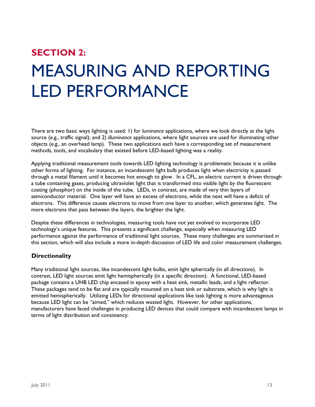# **SECTION 2:**  MEASURING AND REPORTING LED PERFORMANCE

There are two basic ways lighting is used: 1) for *luminance* applications, where we look directly at the light source (e.g., traffic signal); and 2) *illuminance* applications, where light sources are used for illuminating other objects (e.g., an overhead lamp). These two applications each have a corresponding set of measurement methods, tools, and vocabulary that existed before LED-based lighting was a reality.

Applying traditional measurement tools towards LED lighting technology is problematic because it is unlike other forms of lighting. For instance, an incandescent light bulb produces light when electricity is passed through a metal filament until it becomes hot enough to glow. In a CFL, an electric current is driven through a tube containing gases, producing ultraviolet light that is transformed into visible light by the fluorescent coating (phosphor) on the inside of the tube. LEDs, in contrast, are made of very thin layers of semiconductor material. One layer will have an excess of electrons, while the next will have a deficit of electrons. This difference causes electrons to move from one layer to another, which generates light. The more electrons that pass between the layers, the brighter the light.

Despite these differences in technologies, measuring tools have not yet evolved to incorporate LED technology's unique features. This presents a significant challenge, especially when measuring LED performance against the performance of traditional light sources. These many challenges are summarized in this section, which will also include a more in-depth discussion of LED life and color measurement challenges.

### **Directionality**

Many traditional light sources, like incandescent light bulbs, emit light spherically (in all directions). In contrast, LED light sources emit light hemispherically (in a specific direction). A functional, LED-based package contains a UHB LED chip encased in epoxy with a heat sink, metallic leads, and a light reflector. These packages tend to be flat and are typically mounted on a heat sink or substrate, which is why light is emitted hemispherically. Utilizing LEDs for directional applications like task lighting is more advantageous because LED light can be "aimed," which reduces wasted light. However, for other applications, manufacturers have faced challenges in producing LED devices that could compare with incandescent lamps in terms of light distribution and consistency.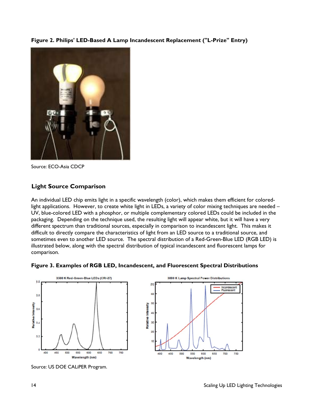**Figure 2. Philips' LED-Based A Lamp Incandescent Replacement ("L-Prize" Entry)** 



Source: ECO-Asia CDCP

#### **Light Source Comparison**

An individual LED chip emits light in a specific wavelength (color), which makes them efficient for coloredlight applications. However, to create white light in LEDs, a variety of color mixing techniques are needed – UV, blue-colored LED with a phosphor, or multiple complementary colored LEDs could be included in the packaging. Depending on the technique used, the resulting light will appear white, but it will have a very different spectrum than traditional sources, especially in comparison to incandescent light. This makes it difficult to directly compare the characteristics of light from an LED source to a traditional source, and sometimes even to another LED source. The spectral distribution of a Red-Green-Blue LED (RGB LED) is illustrated below, along with the spectral distribution of typical incandescent and fluorescent lamps for comparison.

500

550

600

Wavelength (nm)

650

 $700$ 

750





Incandescen<br>Fluorescent

Source: US DOE CALiPER Program.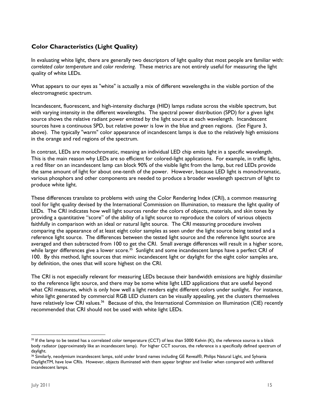### **Color Characteristics (Light Quality)**

In evaluating white light, there are generally two descriptors of light quality that most people are familiar with: *correlated color temperature* and *color rendering*. These metrics are not entirely useful for measuring the light quality of white LEDs.

What appears to our eyes as "white" is actually a mix of different wavelengths in the visible portion of the electromagnetic spectrum.

Incandescent, fluorescent, and high-intensity discharge (HID) lamps radiate across the visible spectrum, but with varying intensity in the different wavelengths. The spectral power distribution (SPD) for a given light source shows the relative radiant power emitted by the light source at each wavelength. Incandescent sources have a continuous SPD, but relative power is low in the blue and green regions. (*See* Figure 3, above). The typically "warm" color appearance of incandescent lamps is due to the relatively high emissions in the orange and red regions of the spectrum.

In contrast, LEDs are monochromatic, meaning an individual LED chip emits light in a specific wavelength. This is the main reason why LEDs are so efficient for colored-light applications. For example, in traffic lights, a red filter on an incandescent lamp can block 90% of the visible light from the lamp, but red LEDs provide the same amount of light for about one-tenth of the power. However, because LED light is monochromatic, various phosphors and other components are needed to produce a broader wavelength spectrum of light to produce white light.

These differences translate to problems with using the Color Rendering Index (CRI), a common measuring tool for light quality devised by the International Commission on Illumination, to measure the light quality of LEDs. The CRI indicates how well light sources render the colors of objects, materials, and skin tones by providing a quantitative "score" of the ability of a light source to reproduce the colors of various objects faithfully in comparison with an ideal or natural light source. The CRI measuring procedure involves comparing the appearance of at least eight color samples as seen under the light source being tested and a reference light source. The differences between the tested light source and the reference light source are averaged and then subtracted from 100 to get the CRI. Small average differences will result in a higher score, while larger differences give a lower score.<sup>35</sup> Sunlight and some incandescent lamps have a perfect CRI of 100. By this method, light sources that mimic incandescent light or daylight for the eight color samples are, by definition, the ones that will score highest on the CRI.

The CRI is not especially relevant for measuring LEDs because their bandwidth emissions are highly dissimilar to the reference light source, and there may be some white light LED applications that are useful beyond what CRI measures, which is only how well a light renders eight different colors under sunlight. For instance, white light generated by commercial RGB LED clusters can be visually appealing, yet the clusters themselves have relatively low CRI values.<sup>36</sup> Because of this, the International Commission on Illumination (CIE) recently recommended that CRI should not be used with white light LEDs.

-

 $35$  If the lamp to be tested has a correlated color temperature (CCT) of less than 5000 Kelvin (K), the reference source is a black body radiator (approximately like an incandescent lamp). For higher CCT sources, the reference is a specifically defined spectrum of daylight.

<sup>36</sup> Similarly, neodymium incandescent lamps, sold under brand names including GE Reveal®, Philips Natural Light, and Sylvania DaylightTM, have low CRIs. However, objects illuminated with them appear brighter and livelier when compared with unfiltered incandescent lamps.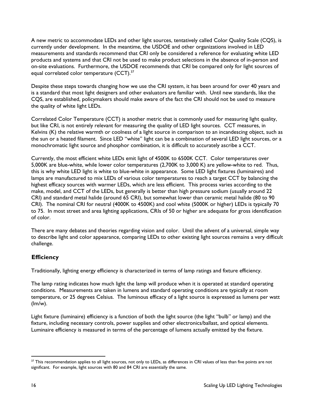A new metric to accommodate LEDs and other light sources, tentatively called Color Quality Scale (CQS), is currently under development. In the meantime, the USDOE and other organizations involved in LED measurements and standards recommend that CRI only be considered a reference for evaluating white LED products and systems and that CRI not be used to make product selections in the absence of in-person and on-site evaluations. Furthermore, the USDOE recommends that CRI be compared only for light sources of equal correlated color temperature (CCT).<sup>37</sup>

Despite these steps towards changing how we use the CRI system, it has been around for over 40 years and is a standard that most light designers and other evaluators are familiar with. Until new standards, like the CQS, are established, policymakers should make aware of the fact the CRI should not be used to measure the quality of white light LEDs.

Correlated Color Temperature (CCT) is another metric that is commonly used for measuring light quality, but like CRI, is not entirely relevant for measuring the quality of LED light sources. CCT measures, in Kelvins (K) the relative warmth or coolness of a light source in comparison to an incandescing object, such as the sun or a heated filament. Since LED "white" light can be a combination of several LED light sources, or a monochromatic light source and phosphor combination, it is difficult to accurately ascribe a CCT.

Currently, the most efficient white LEDs emit light of 4500K to 6500K CCT. Color temperatures over 5,000K are blue-white, while lower color temperatures (2,700K to 3,000 K) are yellow-white to red. Thus, this is why white LED light is white to blue-white in appearance. Some LED light fixtures (luminaires) and lamps are manufactured to mix LEDs of various color temperatures to reach a target CCT by balancing the highest efficacy sources with warmer LEDs, which are less efficient. This process varies according to the make, model, and CCT of the LEDs, but generally is better than high pressure sodium (usually around 22 CRI) and standard metal halide (around 65 CRI), but somewhat lower than ceramic metal halide (80 to 90 CRI). The nominal CRI for neutral (4000K to 4500K) and cool white (5000K or higher) LEDs is typically 70 to 75. In most street and area lighting applications, CRIs of 50 or higher are adequate for gross identification of color.

There are many debates and theories regarding vision and color. Until the advent of a universal, simple way to describe light and color appearance, comparing LEDs to other existing light sources remains a very difficult challenge.

### **Efficiency**

Traditionally, lighting energy efficiency is characterized in terms of lamp ratings and fixture efficiency.

The lamp rating indicates how much light the lamp will produce when it is operated at standard operating conditions. Measurements are taken in lumens and standard operating conditions are typically at room temperature, or 25 degrees Celsius. The luminous efficacy of a light source is expressed as lumens per watt (lm/w).

Light fixture (luminaire) efficiency is a function of both the light source (the light "bulb" or lamp) and the fixture, including necessary controls, power supplies and other electronics/ballast, and optical elements. Luminaire efficiency is measured in terms of the percentage of lumens actually emitted by the fixture.

 <sup>37</sup> This recommendation applies to all light sources, not only to LEDs, as differences in CRI values of less than five points are not significant. For example, light sources with 80 and 84 CRI are essentially the same.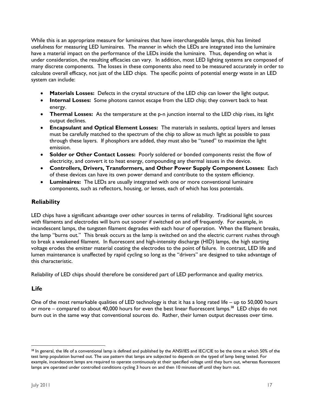While this is an appropriate measure for luminaires that have interchangeable lamps, this has limited usefulness for measuring LED luminaires. The manner in which the LEDs are integrated into the luminaire have a material impact on the performance of the LEDs inside the luminaire. Thus, depending on what is under consideration, the resulting efficacies can vary. In addition, most LED lighting systems are composed of many discrete components. The losses in these components also need to be measured accurately in order to calculate overall efficacy, not just of the LED chips. The specific points of potential energy waste in an LED system can include:

- **Materials Losses:** Defects in the crystal structure of the LED chip can lower the light output.
- **Internal Losses:** Some photons cannot escape from the LED chip; they convert back to heat energy.
- **Thermal Losses:** As the temperature at the p-n junction internal to the LED chip rises, its light output declines.
- **Encapsulant and Optical Element Losses:** The materials in sealants, optical layers and lenses must be carefully matched to the spectrum of the chip to allow as much light as possible to pass through these layers. If phosphors are added, they must also be "tuned" to maximize the light emission.
- **Solder or Other Contact Losses:** Poorly soldered or bonded components resist the flow of electricity, and convert it to heat energy, compounding any thermal issues in the device.
- **Controllers, Drivers, Transformers, and Other Power Supply Component Losses:** Each of these devices can have its own power demand and contribute to the system efficiency.
- **Luminaires:** The LEDs are usually integrated with one or more conventional luminaire components, such as reflectors, housing, or lenses, each of which has loss potentials.

#### **Reliability**

LED chips have a significant advantage over other sources in terms of reliability. Traditional light sources with filaments and electrodes will burn out sooner if switched on and off frequently. For example, in incandescent lamps, the tungsten filament degrades with each hour of operation. When the filament breaks, the lamp "burns out." This break occurs as the lamp is switched on and the electric current rushes through to break a weakened filament. In fluorescent and high-intensity discharge (HID) lamps, the high starting voltage erodes the emitter material coating the electrodes to the point of failure. In contrast, LED life and lumen maintenance is unaffected by rapid cycling so long as the "drivers" are designed to take advantage of this characteristic.

Reliability of LED chips should therefore be considered part of LED performance and quality metrics.

#### **Life**

-

One of the most remarkable qualities of LED technology is that it has a long rated life – up to 50,000 hours or more – compared to about 40,000 hours for even the best linear fluorescent lamps.<sup>38</sup> LED chips do not burn out in the same way that conventional sources do. Rather, their lumen output decreases over time.

<sup>&</sup>lt;sup>38</sup> In general, the life of a conventional lamp is defined and published by the ANSI/IES and IEC/CIE to be the time at which 50% of the test lamp population burned out. The use pattern that lamps are subjected to depends on the typed of lamp being tested. For example, incandescent lamps are required to operate continuously at their specified voltage until they burn out, whereas fluorescent lamps are operated under controlled conditions cycling 3 hours on and then 10 minutes off until they burn out.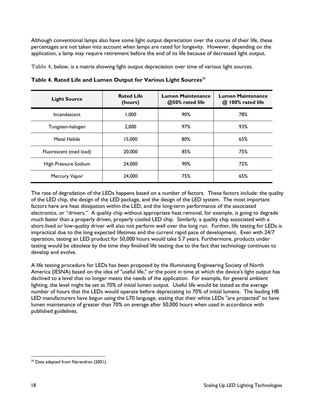Although conventional lamps also have some light output depreciation over the course of their life, these percentages are not taken into account when lamps are rated for longevity. However, depending on the application, a lamp may require retirement before the end of its life because of decreased light output.

**Table 4,** below, is a matrix showing light output depreciation over time of various light sources.

| <b>Light Source</b>            | <b>Rated Life</b><br>(hours) | Lumen Maintenance<br>@50% rated life | <b>Lumen Maintenance</b><br>@ 100% rated life |
|--------------------------------|------------------------------|--------------------------------------|-----------------------------------------------|
| Incandescent                   | 1.000                        | 90%                                  | 78%                                           |
| Tungsten-halogen               | 97%<br>2.000                 |                                      | 93%                                           |
| Metal Halide                   | 15.000                       | 80%                                  | 65%                                           |
| Fluorescent (med load)         | 20,000                       | 85%                                  | 75%                                           |
| 24,000<br>High Pressure Sodium |                              | 90%                                  | 72%                                           |
| 24,000<br>Mercury Vapor        |                              | 75%                                  | 65%                                           |

**Table 4. Rated Life and Lumen Output for Various Light Sources**<sup>39</sup>

The rate of degradation of the LEDs happens based on a number of factors. These factors include: the quality of the LED chip, the design of the LED package, and the design of the LED system. The most important factors here are heat dissipation within the LED, and the long-term performance of the associated electronics, or "drivers." A quality chip without appropriate heat removal, for example, is going to degrade much faster than a properly driven, properly cooled LED chip. Similarly, a quality chip associated with a short-lived or low-quality driver will also not perform well over the long run. Further, life testing for LEDs is impractical due to the long expected lifetimes and the current rapid pace of development. Even with 24/7 operation, testing an LED product for 50,000 hours would take 5.7 years. Furthermore, products under testing would be obsolete by the time they finished life testing due to the fact that technology continues to develop and evolve.

A life testing procedure for LEDs has been proposed by the Illuminating Engineering Society of North America (IESNA) based on the idea of "useful life," or the point in time at which the device's light output has declined to a level that no longer meets the needs of the application. For example, for general ambient lighting, the level might be set at 70% of initial lumen output. Useful life would be stated as the average number of hours that the LEDs would operate before depreciating to 70% of initial lumens. The leading HB LED manufacturers have begun using the L70 language, stating that their white LEDs "are projected" to have lumen maintenance of greater than 70% on average after 50,000 hours when used in accordance with published guidelines.

<sup>-</sup><sup>39</sup> Data adapted from Narendran (2001).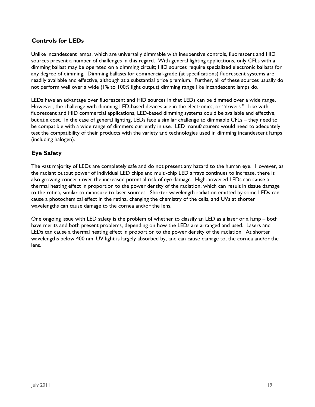### **Controls for LEDs**

Unlike incandescent lamps, which are universally dimmable with inexpensive controls, fluorescent and HID sources present a number of challenges in this regard. With general lighting applications, only CFLs with a dimming ballast may be operated on a dimming circuit; HID sources require specialized electronic ballasts for any degree of dimming. Dimming ballasts for commercial-grade (at specifications) fluorescent systems are readily available and effective, although at a substantial price premium. Further, all of these sources usually do not perform well over a wide (1% to 100% light output) dimming range like incandescent lamps do.

LEDs have an advantage over fluorescent and HID sources in that LEDs can be dimmed over a wide range. However, the challenge with dimming LED-based devices are in the electronics, or "drivers." Like with fluorescent and HID commercial applications, LED-based dimming systems could be available and effective, but at a cost. In the case of general lighting, LEDs face a similar challenge to dimmable CFLs – they need to be compatible with a wide range of dimmers currently in use. LED manufacturers would need to adequately test the compatibility of their products with the variety and technologies used in dimming incandescent lamps (including halogen).

### **Eye Safety**

The vast majority of LEDs are completely safe and do not present any hazard to the human eye. However, as the radiant output power of individual LED chips and multi-chip LED arrays continues to increase, there is also growing concern over the increased potential risk of eye damage. High-powered LEDs can cause a thermal heating effect in proportion to the power density of the radiation, which can result in tissue damage to the retina, similar to exposure to laser sources. Shorter wavelength radiation emitted by some LEDs can cause a photochemical effect in the retina, changing the chemistry of the cells, and UVs at shorter wavelengths can cause damage to the cornea and/or the lens.

One ongoing issue with LED safety is the problem of whether to classify an LED as a laser or a lamp – both have merits and both present problems, depending on how the LEDs are arranged and used. Lasers and LEDs can cause a thermal heating effect in proportion to the power density of the radiation. At shorter wavelengths below 400 nm, UV light is largely absorbed by, and can cause damage to, the cornea and/or the lens.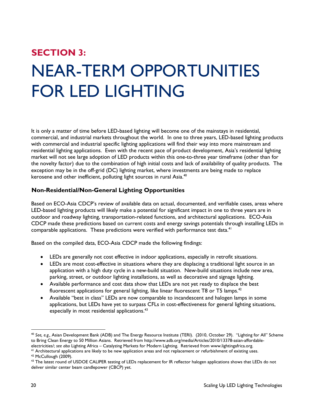# **SECTION 3:**  NEAR-TERM OPPORTUNITIES FOR LED LIGHTING

It is only a matter of time before LED-based lighting will become one of the mainstays in residential, commercial, and industrial markets throughout the world. In one to three years, LED-based lighting products with commercial and industrial specific lighting applications will find their way into more mainstream and residential lighting applications. Even with the recent pace of product development, Asia's residential lighting market will not see large adoption of LED products within this one-to-three year timeframe (other than for the novelty factor) due to the combination of high initial costs and lack of availability of quality products. The exception may be in the off-grid (DC) lighting market, where investments are being made to replace kerosene and other inefficient, polluting light sources in rural Asia.<sup>40</sup>

#### **Non-Residential/Non-General Lighting Opportunities**

Based on ECO-Asia CDCP's review of available data on actual, documented, and verifiable cases, areas where LED-based lighting products will likely make a potential for significant impact in one to three years are in outdoor and roadway lighting, transportation-related functions, and architectural applications. ECO-Asia CDCP made these predictions based on current costs and energy savings potentials through installing LEDs in comparable applications. These predictions were verified with performance test data.<sup>41</sup>

Based on the compiled data, ECO-Asia CDCP made the following findings:

- LEDs are generally not cost effective in indoor applications, especially in retrofit situations.
- LEDs are most cost-effective in situations where they are displacing a traditional light source in an application with a high duty cycle in a new-build situation. New-build situations include new area, parking, street, or outdoor lighting installations, as well as decorative and signage lighting.
- Available performance and cost data show that LEDs are not yet ready to displace the best fluorescent applications for general lighting, like linear fluorescent T8 or T5 lamps.<sup>42</sup>
- Available "best in class" LEDs are now comparable to incandescent and halogen lamps in some applications, but LEDs have yet to surpass CFLs in cost-effectiveness for general lighting situations, especially in most residential applications.<sup>43</sup>

<sup>-</sup><sup>40</sup> *See, e.g.,* Asian Development Bank (ADB) and The Energy Resource Institute (TERI). (2010, October 29). "Lighting for All" Scheme to Bring Clean Energy to 50 Million Asians. Retrieved from http://www.adb.org/media/Articles/2010/13378-asian-affordable-<br>electricities/; see also Lighting Africa – Catalyzing Markets for Modern Lighting. Retrieved from ww

<sup>&</sup>lt;sup>41</sup> Architectural applications are likely to be new application areas and not replacement or refurbishment of existing uses.<br><sup>42</sup> McCullough (2009).

<sup>&</sup>lt;sup>43</sup> The latest round of USDOE CALIPER testing of LEDs replacement for IR reflector halogen applications shows that LEDs do not deliver similar center beam candlepower (CBCP) yet.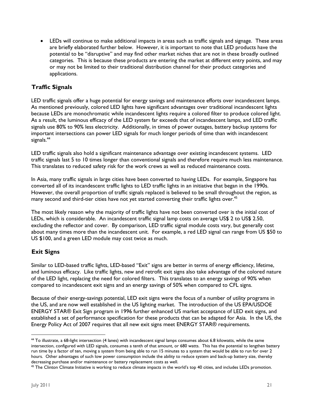LEDs will continue to make additional impacts in areas such as traffic signals and signage. These areas are briefly elaborated further below. However, it is important to note that LED products have the potential to be "disruptive" and may find other market niches that are not in these broadly outlined categories. This is because these products are entering the market at different entry points, and may or may not be limited to their traditional distribution channel for their product categories and applications.

### **Traffic Signals**

LED traffic signals offer a huge potential for energy savings and maintenance efforts over incandescent lamps. As mentioned previously, colored LED lights have significant advantages over traditional incandescent lights because LEDs are monochromatic while incandescent lights require a colored filter to produce colored light. As a result, the luminous efficacy of the LED system far exceeds that of incandescent lamps, and LED traffic signals use 80% to 90% less electricity. Additionally, in times of power outages, battery backup systems for important intersections can power LED signals for much longer periods of time than with incandescent signals.<sup>44</sup>

LED traffic signals also hold a significant maintenance advantage over existing incandescent systems. LED traffic signals last 5 to 10 times longer than conventional signals and therefore require much less maintenance. This translates to reduced safety risk for the work crews as well as reduced maintenance costs.

In Asia, many traffic signals in large cities have been converted to having LEDs. For example, Singapore has converted all of its incandescent traffic lights to LED traffic lights in an initiative that began in the 1990s. However, the overall proportion of traffic signals replaced is believed to be small throughout the region, as many second and third-tier cities have not yet started converting their traffic lights over.<sup>45</sup>

The most likely reason why the majority of traffic lights have not been converted over is the initial cost of LEDs, which is considerable. An incandescent traffic signal lamp costs on average US\$ 2 to US\$ 2.50, excluding the reflector and cover. By comparison, LED traffic signal module costs vary, but generally cost about many times more than the incandescent unit. For example, a red LED signal can range from US \$50 to US \$100, and a green LED module may cost twice as much.

### **Exit Signs**

Similar to LED-based traffic lights, LED-based "Exit" signs are better in terms of energy efficiency, lifetime, and luminous efficacy. Like traffic lights, new and retrofit exit signs also take advantage of the colored nature of the LED light, replacing the need for colored filters. This translates to an energy savings of 90% when compared to incandescent exit signs and an energy savings of 50% when compared to CFL signs.

Because of their energy-savings potential, LED exit signs were the focus of a number of utility programs in the US, and are now well established in the US lighting market. The introduction of the US EPA/USDOE ENERGY STAR® Exit Sign program in 1996 further enhanced US market acceptance of LED exit signs, and established a set of performance specification for these products that can be adapted for Asia. In the US, the Energy Policy Act of 2007 requires that all new exit signs meet ENERGY STAR® requirements.

<sup>-</sup>44 To illustrate, a 68-light intersection (4 lanes) with incandescent signal lamps consumes about 6.8 kilowatts, while the same intersection, configured with LED signals, consumes a tenth of that amount, or 680 watts. This has the potential to lengthen battery run time by a factor of ten, moving a system from being able to run 15 minutes to a system that would be able to run for over 2 hours. Other advantages of such low power consumption include the ability to reduce system and back-up battery size, thereby decreasing purchase and/or maintenance or battery replacement costs as well.<br><sup>45</sup> The Clinton Climate Initiative is working to reduce climate impacts in the world's top 40 cities, and includes LEDs promotion.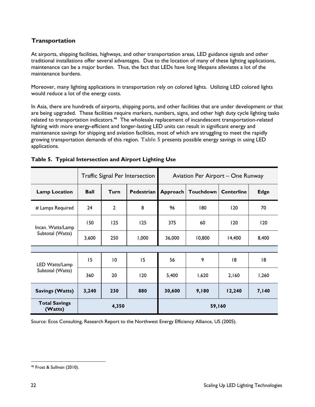### **Transportation**

At airports, shipping facilities, highways, and other transportation areas, LED guidance signals and other traditional installations offer several advantages. Due to the location of many of these lighting applications, maintenance can be a major burden. Thus, the fact that LEDs have long lifespans alleviates a lot of the maintenance burdens.

Moreover, many lighting applications in transportation rely on colored lights. Utilizing LED colored lights would reduce a lot of the energy costs.

In Asia, there are hundreds of airports, shipping ports, and other facilities that are under development or that are being upgraded. These facilities require markers, numbers, signs, and other high duty cycle lighting tasks related to transportation indicators.<sup>46</sup> The wholesale replacement of incandescent transportation-related lighting with more energy-efficient and longer-lasting LED units can result in significant energy and maintenance savings for shipping and aviation facilities, most of which are struggling to meet the rapidly growing transportation demands of this region. **Table 5** presents possible energy savings in using LED applications.

|                                       | <b>Traffic Signal Per Intersection</b> |                 | Aviation Per Airport – One Runway |          |           |                   |              |
|---------------------------------------|----------------------------------------|-----------------|-----------------------------------|----------|-----------|-------------------|--------------|
| <b>Lamp Location</b>                  | <b>Ball</b>                            | Turn            | Pedestrian                        | Approach | Touchdown | <b>Centerline</b> | <b>Edge</b>  |
| # Lamps Required                      | 24                                     | $\mathbf{c}$    | 8                                 | 96       | 180       | 120               | 70           |
| Incan. Watts/Lamp<br>Subtotal (Watts) | 150                                    | 125             | 125                               | 375      | 60        | 120               | 120          |
|                                       | 3,600                                  | 250             | 1,000                             | 36,000   | 10,800    | 14,400            | 8,400        |
|                                       |                                        |                 |                                   |          |           |                   |              |
| LED Watts/Lamp                        | 15                                     | $\overline{10}$ | 15                                | 56       | 9         | 8                 | 8            |
| Subtotal (Watts)                      | 360                                    | 20              | 120                               | 5,400    | 1,620     | 2,160             | 1,260        |
| <b>Savings (Watts)</b>                | 3,240                                  | 230             | 880                               | 30,600   | 9,180     | 12,240            | <b>7,140</b> |
| <b>Total Savings</b><br>(Watts)       |                                        | 4,350           |                                   |          | 59,160    |                   |              |

#### **Table 5. Typical Intersection and Airport Lighting Use**

Source: Ecos Consulting, Research Report to the Northwest Energy Efficiency Alliance, US (2005).

 46 Frost & Sullivan (2010).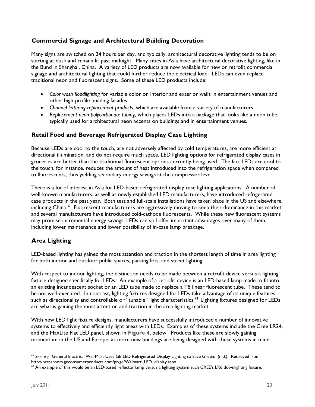### **Commercial Signage and Architectural Building Decoration**

Many signs are switched on 24 hours per day, and typically, architectural decorative lighting tends to be on starting at dusk and remain lit past midnight. Many cities in Asia have architectural decorative lighting, like in the Bund in Shanghai, China. A variety of LED products are now available for new or retrofit commercial signage and architectural lighting that could further reduce the electrical load. LEDs can even replace traditional neon and fluorescent signs. Some of these LED products include:

- *Color wash floodlighting* for variable color on interior and exterior walls in entertainment venues and other high-profile building facades.
- *Channel lettering replacement products*, which are available from a variety of manufacturers.
- *Replacement neon polycarbonate tubing*, which places LEDs into a package that looks like a neon tube, typically used for architectural neon accents on buildings and in entertainment venues.

### **Retail Food and Beverage Refrigerated Display Case Lighting**

Because LEDs are cool to the touch, are not adversely affected by cold temperatures, are more efficient at directional illumination, and do not require much space, LED lighting options for refrigerated display cases in groceries are better than the traditional fluorescent options currently being used. The fact LEDs are cool to the touch, for instance, reduces the amount of heat introduced into the refrigeration space when compared to fluorescents, thus yielding secondary energy savings at the compressor level.

There is a lot of interest in Asia for LED-based refrigerated display case lighting applications. A number of well-known manufacturers, as well as newly established LED manufacturers, have introduced refrigerated case products in the past year. Both test and full-scale installations have taken place in the US and elsewhere, including China.<sup>47</sup> Fluorescent manufacturers are aggressively moving to keep their dominance in this market, and several manufacturers have introduced cold-cathode fluorescents. While these new fluorescent systems may promise incremental energy savings, LEDs can still offer important advantages over many of them, including lower maintenance and lower possibility of in-case lamp breakage.

### **Area Lighting**

LED-based lighting has gained the most attention and traction in the shortest length of time in area lighting for both indoor and outdoor public spaces, parking lots, and street lighting.

With respect to indoor lighting, the distinction needs to be made between a retrofit device versus a lighting fixture designed specifically for LEDs. An example of a retrofit device is an LED-based lamp made to fit into an existing incandescent socket or an LED tube made to replace a T8 linear fluorescent tube. These tend to be not well-executed. In contrast, lighting fixtures designed for LEDs take advantage of its unique features such as directionality and controllable or "tunable" light characteristics.<sup>48</sup> Lighting fixtures designed for LEDs are what is gaining the most attention and traction in the area lighting market.

With new LED light fixture designs, manufacturers have successfully introduced a number of innovative systems to effectively and efficiently light areas with LEDs. Examples of these systems include the Cree LR24, and the MaxLite Flat LED panel, shown in **Figure 4**, below. Products like these are slowly gaining momentum in the US and Europe, as more new buildings are being designed with these systems in mind.

<sup>-</sup><sup>47</sup> *See*, *e.g.*, General Electric. Wal-Mart Uses GE LED Refrigerated Display Lighting to Save Green. (n.d.). Retrieved from http://pressroom.geconsumerproducts.com/pr/ge/Walmart\_LED\_display.aspx.

<sup>&</sup>lt;sup>48</sup> An example of this would be an LED-based reflector lamp versus a lighting system such CREE's LR6 downlighting fixture.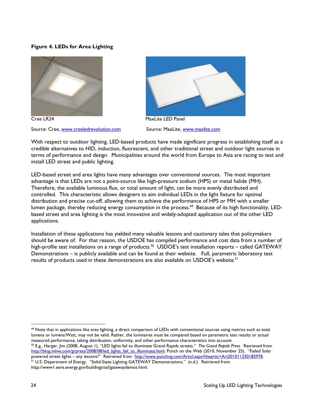#### **Figure 4. LEDs for Area Lighting**







With respect to outdoor lighting, LED-based products have made significant progress in establishing itself as a credible alternatives to HID, induction, fluorescent, and other traditional street and outdoor light sources in terms of performance and design. Municipalities around the world from Europe to Asia are racing to test and install LED street and public lighting.

LED-based street and area lights have many advantages over conventional sources. The most important advantage is that LEDs are not a point-source like high-pressure sodium (HPS) or metal halide (MH). Therefore, the available luminous flux, or total amount of light, can be more evenly distributed and controlled. This characteristic allows designers to aim individual LEDs in the light fixture for optimal distribution and precise cut-off, allowing them to achieve the performance of HPS or MH with a smaller lumen package, thereby reducing energy consumption in the process.<sup>49</sup> Because of its high functionality, LEDbased street and area lighting is the most innovative and widely-adopted application out of the other LED applications.

Installation of these applications has yielded many valuable lessons and cautionary tales that policymakers should be aware of. For that reason, the USDOE has compiled performance and cost data from a number of high-profile test installations on a range of products.<sup>50</sup> USDOE's test installation reports – called GATEWAY Demonstrations – is publicly available and can be found at their website. Full, parametric laboratory test results of products used in these demonstrations are also available on USDOE's website.<sup>51</sup>

 $49$  Note that in applications like area lighting, a direct comparison of LEDs with conventional sources using metrics such as total lumens or lumens/Watt, may not be valid. Rather, the luminaires must be compared based on parametric test results or actual measured performance, taking distribution, uniformity, and other performance characteristics into <sup>50</sup> E.g., Harger, Jim (2008, August 1), "LED lights fail to illuminate Grand Rapids streets." The Grand Rapids Press. Retrieved from

http://blog.mlive.com/grpress/2008/08/led\_lights\_fail\_to\_illuminate.html; Punch on the Web (2010, November 25). "Failed Solar powered street lights – any lessons?" Retrieved from http://www.punchng.com/Articl.aspx?theartic <sup>51</sup> U.S. Department of Energy. "Solid-State Lighting GATEWAY Demonstrations." (n.d.). Retrieved from http://www1.eere.energy.gov/buildings/ssl/gatewaydemos.html.

-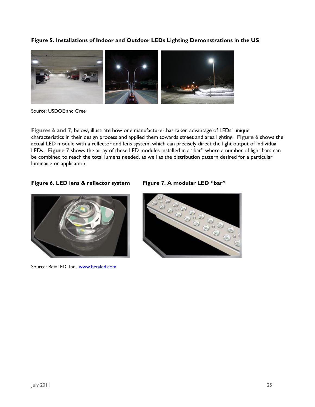**Figure 5. Installations of Indoor and Outdoor LEDs Lighting Demonstrations in the US** 



Source: USDOE and Cree

**Figures 6 and 7**, below, illustrate how one manufacturer has taken advantage of LEDs' unique characteristics in their design process and applied them towards street and area lighting. **Figure 6** shows the actual LED module with a reflector and lens system, which can precisely direct the light output of individual LEDs. **Figure 7** shows the array of these LED modules installed in a "bar" where a number of light bars can be combined to reach the total lumens needed, as well as the distribution pattern desired for a particular luminaire or application.

#### **Figure 6. LED lens & reflector system Figure 7. A modular LED "bar"**



Source: BetaLED, Inc., www.betaled.com

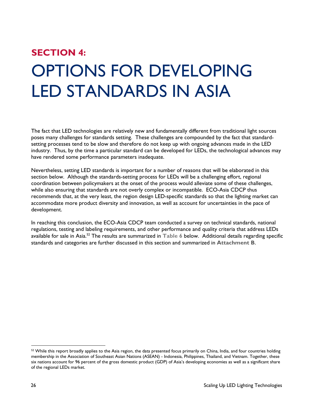# **SECTION 4:**  OPTIONS FOR DEVELOPING LED STANDARDS IN ASIA

The fact that LED technologies are relatively new and fundamentally different from traditional light sources poses many challenges for standards setting. These challenges are compounded by the fact that standardsetting processes tend to be slow and therefore do not keep up with ongoing advances made in the LED industry. Thus, by the time a particular standard can be developed for LEDs, the technological advances may have rendered some performance parameters inadequate.

Nevertheless, setting LED standards is important for a number of reasons that will be elaborated in this section below. Although the standards-setting process for LEDs will be a challenging effort, regional coordination between policymakers at the onset of the process would alleviate some of these challenges, while also ensuring that standards are not overly complex or incompatible. ECO-Asia CDCP thus recommends that, at the very least, the region design LED-specific standards so that the lighting market can accommodate more product diversity and innovation, as well as account for uncertainties in the pace of development.

In reaching this conclusion, the ECO-Asia CDCP team conducted a survey on technical standards, national regulations, testing and labeling requirements, and other performance and quality criteria that address LEDs available for sale in Asia.52 The results are summarized in **Table 6** below. Additional details regarding specific standards and categories are further discussed in this section and summarized in **Attachment B**.

-

 $52$  While this report broadly applies to the Asia region, the data presented focus primarily on China, India, and four countries holding membership in the Association of Southeast Asian Nations (ASEAN) - Indonesia, Philippines, Thailand, and Vietnam. Together, these six nations account for 96 percent of the gross domestic product (GDP) of Asia's developing economies as well as a significant share of the regional LEDs market.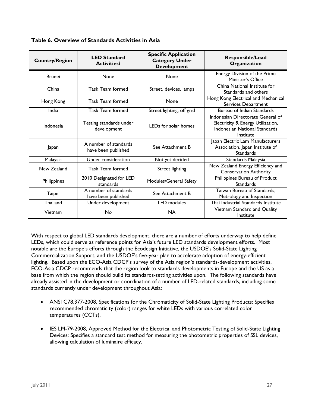| <b>Country/Region</b> | <b>LED Standard</b><br><b>Activities?</b>                        | <b>Specific Application</b><br><b>Category Under</b><br><b>Development</b> | Responsible/Lead<br>Organization                                                                                     |
|-----------------------|------------------------------------------------------------------|----------------------------------------------------------------------------|----------------------------------------------------------------------------------------------------------------------|
| <b>Brunei</b>         | None                                                             | None                                                                       | Energy Division of the Prime<br>Minister's Office                                                                    |
| China                 | <b>Task Team formed</b>                                          | Street, devices, lamps                                                     | China National Institute for<br>Standards and others                                                                 |
| Hong Kong             | <b>Task Team formed</b>                                          | None                                                                       | Hong Kong Electrical and Mechanical<br>Services Department                                                           |
| India                 | <b>Task Team formed</b>                                          | Street lighting, off grid                                                  | Bureau of Indian Standards                                                                                           |
| Indonesia             | Testing standards under<br>development                           | LEDs for solar homes                                                       | Indonesian Directorate General of<br>Electricity & Energy Utilization,<br>Indonesian National Standards<br>Institute |
| Japan                 | A number of standards<br>See Attachment B<br>have been published |                                                                            | Japan Electric Lam Manufacturers<br>Association, Japan Institute of<br><b>Standards</b>                              |
| Malaysia              | Under consideration                                              | Not yet decided                                                            | Standards Malaysia                                                                                                   |
| New Zealand           | <b>Task Team formed</b>                                          | <b>Street lighting</b>                                                     | New Zealand Energy Efficiency and<br><b>Conservation Authority</b>                                                   |
| Philippines           | 2010 Designated for LED<br>standards                             | Modules/General Safety                                                     | Philippines Bureau of Product<br><b>Standards</b>                                                                    |
| Taipei                | A number of standards<br>have been published                     | See Attachment B                                                           | Taiwan Bureau of Standards,<br>Metrology and Inspection                                                              |
| Thailand              | Under development                                                | <b>LED</b> modules                                                         | Thai Industrial Standards Institute                                                                                  |
| Vietnam               | No                                                               | <b>NA</b>                                                                  | Vietnam Standard and Quality<br>Institute                                                                            |

**Table 6. Overview of Standards Activities in Asia** 

With respect to global LED standards development, there are a number of efforts underway to help define LEDs, which could serve as reference points for Asia's future LED standards development efforts. Most notable are the Europe's efforts through the Ecodesign Initiative, the USDOE's Solid-State Lighting Commercialization Support, and the USDOE's five-year plan to accelerate adoption of energy-efficient lighting. Based upon the ECO-Asia CDCP's survey of the Asia region's standards-development activities, ECO-Asia CDCP recommends that the region look to standards developments in Europe and the US as a base from which the region should build its standards-setting activities upon. The following standards have already assisted in the development or coordination of a number of LED-related standards, including some standards currently under development throughout Asia:

- ANSI C78.377-2008, Specifications for the Chromaticity of Solid-State Lighting Products: Specifies recommended chromaticity (color) ranges for white LEDs with various correlated color temperatures (CCTs).
- IES LM-79-2008, Approved Method for the Electrical and Photometric Testing of Solid-State Lighting Devices: Specifies a standard test method for measuring the photometric properties of SSL devices, allowing calculation of luminaire efficacy.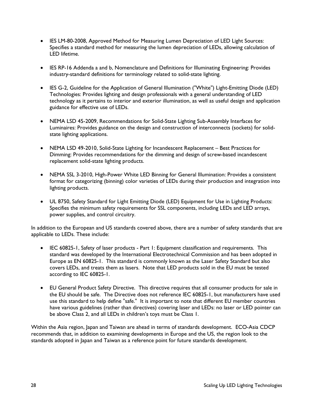- IES LM-80-2008, Approved Method for Measuring Lumen Depreciation of LED Light Sources: Specifies a standard method for measuring the lumen depreciation of LEDs, allowing calculation of LED lifetime.
- IES RP-16 Addenda a and b, Nomenclature and Definitions for Illuminating Engineering: Provides industry-standard definitions for terminology related to solid-state lighting.
- IES G-2, Guideline for the Application of General Illumination ("White") Light-Emitting Diode (LED) Technologies: Provides lighting and design professionals with a general understanding of LED technology as it pertains to interior and exterior illumination, as well as useful design and application guidance for effective use of LEDs.
- NEMA LSD 45-2009, Recommendations for Solid-State Lighting Sub-Assembly Interfaces for Luminaires: Provides guidance on the design and construction of interconnects (sockets) for solidstate lighting applications.
- NEMA LSD 49-2010, Solid-State Lighting for Incandescent Replacement Best Practices for Dimming: Provides recommendations for the dimming and design of screw-based incandescent replacement solid-state lighting products.
- NEMA SSL 3-2010, High-Power White LED Binning for General Illumination: Provides a consistent format for categorizing (binning) color varieties of LEDs during their production and integration into lighting products.
- UL 8750, Safety Standard for Light Emitting Diode (LED) Equipment for Use in Lighting Products: Specifies the minimum safety requirements for SSL components, including LEDs and LED arrays, power supplies, and control circuitry.

In addition to the European and US standards covered above, there are a number of safety standards that are applicable to LEDs. These include:

- IEC 60825-1, Safety of laser products Part 1: Equipment classification and requirements. This standard was developed by the International Electrotechnical Commission and has been adopted in Europe as EN 60825-1. This standard is commonly known as the Laser Safety Standard but also covers LEDs, and treats them as lasers. Note that LED products sold in the EU must be tested according to IEC 60825-1.
- EU General Product Safety Directive. This directive requires that all consumer products for sale in the EU should be safe. The Directive does not reference IEC 60825-1, but manufacturers have used use this standard to help define "safe." It is important to note that different EU member countries have various guidelines (rather than directives) covering laser and LEDs: no laser or LED pointer can be above Class 2, and all LEDs in children's toys must be Class 1.

Within the Asia region, Japan and Taiwan are ahead in terms of standards development. ECO-Asia CDCP recommends that, in addition to examining developments in Europe and the US, the region look to the standards adopted in Japan and Taiwan as a reference point for future standards development.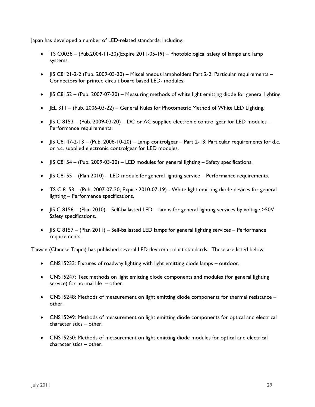Japan has developed a number of LED-related standards, including:

- $\bullet$  TS C0038 (Pub.2004-11-20)(Expire 2011-05-19) Photobiological safety of lamps and lamp systems.
- $\bullet$  IIS C8121-2-2 (Pub. 2009-03-20) Miscellaneous lampholders Part 2-2: Particular requirements Connectors for printed circuit board based LED- modules.
- IIS C8152 (Pub. 2007-07-20) Measuring methods of white light emitting diode for general lighting.
- JEL 311 (Pub. 2006-03-22) General Rules for Photometric Method of White LED Lighting.
- $\bullet$  | IS C 8153 (Pub. 2009-03-20) DC or AC supplied electronic control gear for LED modules Performance requirements.
- $\bullet$  | IS C8147-2-13 (Pub. 2008-10-20) Lamp controlgear Part 2-13: Particular requirements for d.c. or a.c. supplied electronic controlgear for LED modules.
- $\bullet$  | IS C8154 (Pub. 2009-03-20) LED modules for general lighting Safety specifications.
- $\bullet$  | IS C8155 (Plan 2010) LED module for general lighting service Performance requirements.
- TS C 8153 (Pub. 2007-07-20; Expire 2010-07-19) White light emitting diode devices for general lighting – Performance specifications.
- $\bullet$  | IS C 8156 (Plan 2010) Self-ballasted LED lamps for general lighting services by voltage >50V Safety specifications.
- IIS C 8157 (Plan 2011) Self-ballasted LED lamps for general lighting services Performance requirements.

Taiwan (Chinese Taipei) has published several LED device/product standards. These are listed below:

- CNS15233: Fixtures of roadway lighting with light emitting diode lamps outdoor,
- CNS15247: Test methods on light emitting diode components and modules (for general lighting service) for normal life – other.
- CNS15248: Methods of measurement on light emitting diode components for thermal resistance other.
- CNS15249: Methods of measurement on light emitting diode components for optical and electrical characteristics – other.
- CNS15250: Methods of measurement on light emitting diode modules for optical and electrical characteristics – other.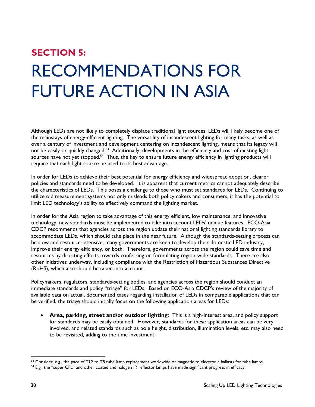# **SECTION 5:**  RECOMMENDATIONS FOR FUTURE ACTION IN ASIA

Although LEDs are not likely to completely displace traditional light sources, LEDs will likely become one of the mainstays of energy-efficient lighting. The versatility of incandescent lighting for many tasks, as well as over a century of investment and development centering on incandescent lighting, means that its legacy will not be easily or quickly changed.<sup>53</sup> Additionally, developments in the efficiency and cost of existing light sources have not yet stopped.<sup>54</sup> Thus, the key to ensure future energy efficiency in lighting products will require that each light source be used to its best advantage.

In order for LEDs to achieve their best potential for energy efficiency and widespread adoption, clearer policies and standards need to be developed. It is apparent that current metrics cannot adequately describe the characteristics of LEDs. This poses a challenge to those who must set standards for LEDs. Continuing to utilize old measurement systems not only misleads both policymakers and consumers, it has the potential to limit LED technology's ability to effectively command the lighting market.

In order for the Asia region to take advantage of this energy efficient, low maintenance, and innovative technology, new standards must be implemented to take into account LEDs' unique features. ECO-Asia CDCP recommends that agencies across the region update their national lighting standards library to accommodate LEDs, which should take place in the near future. Although the standards-setting process can be slow and resource-intensive, many governments are keen to develop their domestic LED industry, improve their energy efficiency, or both. Therefore, governments across the region could save time and resources by directing efforts towards conferring on formulating region-wide standards. There are also other initiatives underway, including compliance with the Restriction of Hazardous Substances Directive (RoHS), which also should be taken into account.

Policymakers, regulators, standards-setting bodies, and agencies across the region should conduct an immediate standards and policy "triage" for LEDs. Based on ECO-Asia CDCP's review of the majority of available data on actual, documented cases regarding installation of LEDs in comparable applications that can be verified, the triage should initially focus on the following application areas for LEDs:

 **Area, parking, street and/or outdoor lighting:** This is a high-interest area, and policy support for standards may be easily obtained. However, standards for these application areas can be very involved, and related standards such as pole height, distribution, illumination levels, etc. may also need to be revisited, adding to the time investment.

<sup>&</sup>lt;sup>53</sup> Consider, e.g., the pace of T12 to T8 tube lamp replacement worldwide or magnetic to electronic ballasts for tube lamps.<br><sup>54</sup> E.g., the "super CFL" and other coated and halogen IR reflector lamps have made significan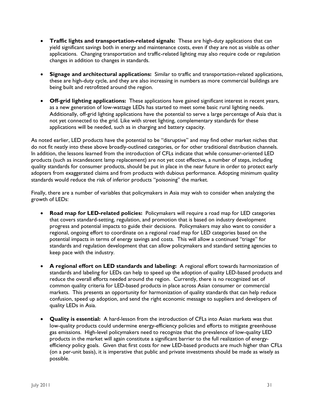- **Traffic lights and transportation-related signals:** These are high-duty applications that can yield significant savings both in energy and maintenance costs, even if they are not as visible as other applications. Changing transportation and traffic-related lighting may also require code or regulation changes in addition to changes in standards.
- **Signage and architectural applications:** Similar to traffic and transportation-related applications, these are high-duty cycle, and they are also increasing in numbers as more commercial buildings are being built and retrofitted around the region.
- **Off-grid lighting applications:** These applications have gained significant interest in recent years, as a new generation of low-wattage LEDs has started to meet some basic rural lighting needs. Additionally, off-grid lighting applications have the potential to serve a large percentage of Asia that is not yet connected to the grid. Like with street lighting, complementary standards for these applications will be needed, such as in charging and battery capacity.

As noted earlier, LED products have the potential to be "disruptive" and may find other market niches that do not fit neatly into these above broadly-outlined categories, or for other traditional distribution channels. In addition, the lessons learned from the introduction of CFLs indicate that while consumer-oriented LED products (such as incandescent lamp replacement) are not yet cost effective, a number of steps, including quality standards for consumer products, should be put in place in the near future in order to protect early adopters from exaggerated claims and from products with dubious performance. Adopting minimum quality standards would reduce the risk of inferior products "poisoning" the market.

Finally, there are a number of variables that policymakers in Asia may wish to consider when analyzing the growth of LEDs:

- **Road map for LED-related policies:** Policymakers will require a road map for LED categories that covers standard-setting, regulation, and promotion that is based on industry development progress and potential impacts to guide their decisions. Policymakers may also want to consider a regional, ongoing effort to coordinate on a regional road map for LED categories based on the potential impacts in terms of energy savings and costs. This will allow a continued "triage" for standards and regulation development that can allow policymakers and standard setting agencies to keep pace with the industry.
- **A regional effort on LED standards and labeling:** A regional effort towards harmonization of standards and labeling for LEDs can help to speed up the adoption of quality LED-based products and reduce the overall efforts needed around the region. Currently, there is no recognized set of common quality criteria for LED-based products in place across Asian consumer or commercial markets. This presents an opportunity for harmonization of quality standards that can help reduce confusion, speed up adoption, and send the right economic message to suppliers and developers of quality LEDs in Asia.
- **Quality is essential:** A hard-lesson from the introduction of CFLs into Asian markets was that low-quality products could undermine energy-efficiency policies and efforts to mitigate greenhouse gas emissions. High-level policymakers need to recognize that the prevalence of low-quality LED products in the market will again constitute a significant barrier to the full realization of energyefficiency policy goals. Given that first costs for new LED-based products are much higher than CFLs (on a per-unit basis), it is imperative that public and private investments should be made as wisely as possible.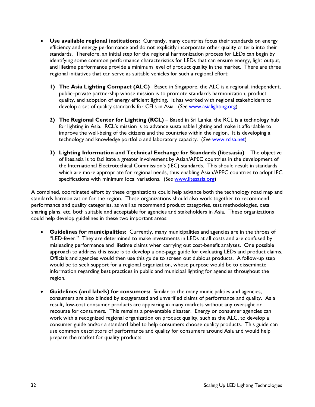- **Use available regional institutions:** Currently, many countries focus their standards on energy efficiency and energy performance and do not explicitly incorporate other quality criteria into their standards. Therefore, an initial step for the regional harmonization process for LEDs can begin by identifying some common performance characteristics for LEDs that can ensure energy, light output, and lifetime performance provide a minimum level of product quality in the market. There are three regional initiatives that can serve as suitable vehicles for such a regional effort:
	- **1) The Asia Lighting Compact (ALC)** Based in Singapore, the ALC is a regional, independent, public–private partnership whose mission is to promote standards harmonization, product quality, and adoption of energy efficient lighting. It has worked with regional stakeholders to develop a set of quality standards for CFLs in Asia. (*See* www.asialighting.org)
	- **2) The Regional Center for Lighting (RCL)**  Based in Sri Lanka, the RCL is a technology hub for lighting in Asia. RCL's mission is to advance sustainable lighting and make it affordable to improve the well-being of the citizens and the countries within the region. It is developing a technology and knowledge portfolio and laboratory capacity. (*See* www.rclsa.net)
	- **3) Lighting Information and Technical Exchange for Standards (lites.asia)** The objective of lites.asia is to facilitate a greater involvement by Asian/APEC countries in the development of the International Electrotechical Commission's (IEC) standards. This should result in standards which are more appropriate for regional needs, thus enabling Asian/APEC countries to adopt IEC specifications with minimum local variations. (*See* www.litesasia.org)

A combined, coordinated effort by these organizations could help advance both the technology road map and standards harmonization for the region. These organizations should also work together to recommend performance and quality categories, as well as recommend product categories, test methodologies, data sharing plans, etc. both suitable and acceptable for agencies and stakeholders in Asia. These organizations could help develop guidelines in these two important areas:

- **Guidelines for municipalities:** Currently, many municipalities and agencies are in the throes of "LED-fever." They are determined to make investments in LEDs at all costs and are confused by misleading performance and lifetime claims when carrying out cost-benefit analyses. One possible approach to address this issue is to develop a one-page guide for evaluating LEDs and product claims. Officials and agencies would then use this guide to screen out dubious products. A follow-up step would be to seek support for a regional organization, whose purpose would be to disseminate information regarding best practices in public and municipal lighting for agencies throughout the region.
- **Guidelines (and labels) for consumers:** Similar to the many municipalities and agencies, consumers are also blinded by exaggerated and unverified claims of performance and quality. As a result, low-cost consumer products are appearing in many markets without any oversight or recourse for consumers. This remains a preventable disaster. Energy or consumer agencies can work with a recognized regional organization on product quality, such as the ALC, to develop a consumer guide and/or a standard label to help consumers choose quality products. This guide can use common descriptors of performance and quality for consumers around Asia and would help prepare the market for quality products.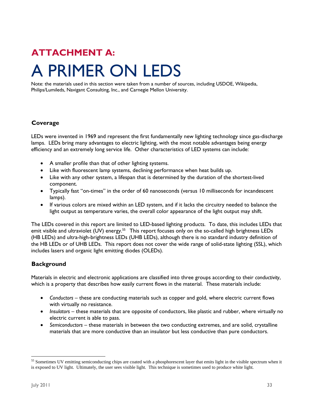### **ATTACHMENT A:**  A PRIMER ON LEDS

Note: the materials used in this section were taken from a number of sources, including USDOE, Wikipedia, Philips/Lumileds, Navigant Consulting, Inc., and Carnegie Mellon University.

#### **Coverage**

LEDs were invented in 1969 and represent the first fundamentally new lighting technology since gas-discharge lamps. LEDs bring many advantages to electric lighting, with the most notable advantages being energy efficiency and an extremely long service life. Other characteristics of LED systems can include:

- A smaller profile than that of other lighting systems.
- Like with fluorescent lamp systems, declining performance when heat builds up.
- Like with any other system, a lifespan that is determined by the duration of the shortest-lived component.
- Typically fast "on-times" in the order of 60 nanoseconds (versus 10 milliseconds for incandescent lamps).
- If various colors are mixed within an LED system, and if it lacks the circuitry needed to balance the light output as temperature varies, the overall color appearance of the light output may shift.

The LEDs covered in this report are limited to LED-based lighting products. To date, this includes LEDs that emit visible and ultraviolet (UV) energy.<sup>55</sup> This report focuses only on the so-called high brightness LEDs (HB LEDs) and ultra-high-brightness LEDs (UHB LEDs), although there is no standard industry definition of the HB LEDs or of UHB LEDs. This report does not cover the wide range of solid-state lighting (SSL), which includes lasers and organic light emitting diodes (OLEDs).

#### **Background**

Materials in electric and electronic applications are classified into three groups according to their *conductivity*, which is a property that describes how easily current flows in the material. These materials include:

- *Conductors*  these are conducting materials such as copper and gold, where electric current flows with virtually no resistance.
- *Insulators*  these materials that are opposite of conductors, like plastic and rubber, where virtually no electric current is able to pass.
- *Semiconductors*  these materials in between the two conducting extremes, and are solid, crystalline materials that are more conductive than an insulator but less conductive than pure conductors.

<sup>-</sup><sup>55</sup> Sometimes UV emitting semiconducting chips are coated with a phosphorescent layer that emits light in the visible spectrum when it is exposed to UV light. Ultimately, the user sees visible light. This technique is sometimes used to produce white light.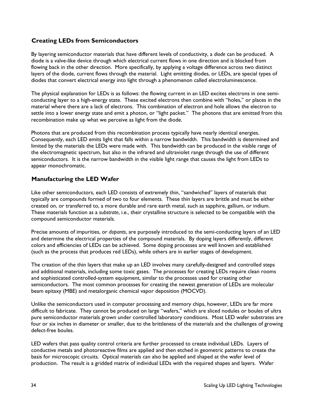#### **Creating LEDs from Semiconductors**

By layering semiconductor materials that have different levels of conductivity, a *diode* can be produced. A diode is a valve-like device through which electrical current flows in one direction and is blocked from flowing back in the other direction. More specifically, by applying a voltage difference across two distinct layers of the diode, current flows through the material. Light emitting diodes, or LEDs, are special types of diodes that convert electrical energy into light through a phenomenon called electroluminescence.

The physical explanation for LEDs is as follows: the flowing current in an LED excites electrons in one semiconducting layer to a high-energy state. These excited electrons then combine with "holes," or places in the material where there are a lack of electrons. This combination of electron and hole allows the electron to settle into a lower energy state and emit a photon, or "light packet." The photons that are emitted from this recombination make up what we perceive as light from the diode.

Photons that are produced from this recombination process typically have nearly identical energies. Consequently, each LED emits light that falls within a narrow bandwidth. This bandwidth is determined and limited by the materials the LEDs were made with. This bandwidth can be produced in the visible range of the electromagnetic spectrum, but also in the infrared and ultraviolet range through the use of different semiconductors. It is the narrow bandwidth in the visible light range that causes the light from LEDs to appear monochromatic.

#### **Manufacturing the LED Wafer**

Like other semiconductors, each LED consists of extremely thin, "sandwiched" layers of materials that typically are compounds formed of two to four elements. These thin layers are brittle and must be either created on, or transferred to, a more durable and rare earth metal, such as sapphire, gallium, or indium. These materials function as a *substrate*, i.e., their crystalline structure is selected to be compatible with the compound semiconductor materials.

Precise amounts of impurities, or *dopants*, are purposely introduced to the semi-conducting layers of an LED and determine the electrical properties of the compound materials. By doping layers differently, different colors and efficiencies of LEDs can be achieved. Some doping processes are well known and established (such as the process that produces red LEDs), while others are in earlier stages of development.

The creation of the thin layers that make up an LED involves many carefully-designed and controlled steps and additional materials, including some toxic gases. The processes for creating LEDs require clean rooms and sophisticated controlled-system equipment, similar to the processes used for creating other semiconductors. The most common processes for creating the newest generation of LEDs are molecular beam epitaxy (MBE) and metalorganic chemical vapor deposition (MOCVD).

Unlike the semiconductors used in computer processing and memory chips, however, LEDs are far more difficult to fabricate. They cannot be produced on large "wafers," which are sliced nodules or boules of ultra pure semiconductor materials grown under controlled laboratory conditions. Most LED wafer substrates are four or six inches in diameter or smaller, due to the brittleness of the materials and the challenges of growing defect-free boules.

LED wafers that pass quality control criteria are further processed to create individual LEDs. Layers of conductive metals and photoreactive films are applied and then etched in geometric patterns to create the basis for microscopic circuits. Optical materials can also be applied and shaped at the wafer level of production. The result is a gridded matrix of individual LEDs with the required shapes and layers. Wafer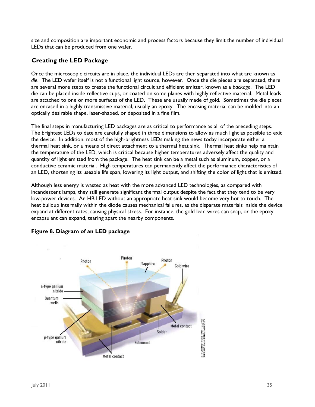size and composition are important economic and process factors because they limit the number of individual LEDs that can be produced from one wafer.

#### **Creating the LED Package**

Once the microscopic circuits are in place, the individual LEDs are then separated into what are known as *die*. The LED wafer itself is not a functional light source, however. Once the die pieces are separated, there are several more steps to create the functional circuit and efficient emitter, known as a *package*. The LED die can be placed inside reflective cups, or coated on some planes with highly reflective material. Metal leads are attached to one or more surfaces of the LED. These are usually made of gold. Sometimes the die pieces are encased in a highly transmissive material, usually an epoxy. The encasing material can be molded into an optically desirable shape, laser-shaped, or deposited in a fine film.

The final steps in manufacturing LED packages are as critical to performance as all of the preceding steps. The brightest LEDs to date are carefully shaped in three dimensions to allow as much light as possible to exit the device. In addition, most of the high-brightness LEDs making the news today incorporate either a thermal heat sink, or a means of direct attachment to a thermal heat sink. Thermal heat sinks help maintain the temperature of the LED, which is critical because higher temperatures adversely affect the quality and quantity of light emitted from the package. The heat sink can be a metal such as aluminum, copper, or a conductive ceramic material. High temperatures can permanently affect the performance characteristics of an LED, shortening its useable life span, lowering its light output, and shifting the color of light that is emitted.

Although less energy is wasted as heat with the more advanced LED technologies, as compared with incandescent lamps, they still generate significant thermal output despite the fact that they tend to be very low-power devices. An HB LED without an appropriate heat sink would become very hot to touch. The heat buildup internally within the diode causes mechanical failures, as the disparate materials inside the device expand at different rates, causing physical stress. For instance, the gold lead wires can snap, or the epoxy encapsulant can expand, tearing apart the nearby components.



#### **Figure 8. Diagram of an LED package**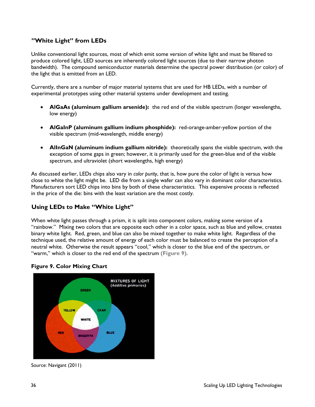#### **"White Light" from LEDs**

Unlike conventional light sources, most of which emit some version of white light and must be filtered to produce colored light, LED sources are inherently colored light sources (due to their narrow photon bandwidth). The compound semiconductor materials determine the spectral power distribution (or color) of the light that is emitted from an LED.

Currently, there are a number of major material systems that are used for HB LEDs, with a number of experimental prototypes using other material systems under development and testing.

- **AlGaAs (aluminum gallium arsenide):** the red end of the visible spectrum (longer wavelengths, low energy)
- **AlGaInP (aluminum gallium indium phosphide):** red-orange-amber-yellow portion of the visible spectrum (mid-wavelength, middle energy)
- **AlInGaN (aluminum indium gallium nitride):** theoretically spans the visible spectrum, with the exception of some gaps in green; however, it is primarily used for the green-blue end of the visible spectrum, and ultraviolet (short wavelengths, high energy)

As discussed earlier, LEDs chips also vary in *color purity*, that is, how pure the color of light is versus how close to white the light might be. LED die from a single wafer can also vary in dominant color characteristics. Manufacturers sort LED chips into bins by both of these characteristics. This expensive process is reflected in the price of the die: bins with the least variation are the most costly.

#### **Using LEDs to Make "White Light"**

When white light passes through a prism, it is split into component colors, making some version of a "rainbow." Mixing two colors that are opposite each other in a color space, such as blue and yellow, creates binary white light. Red, green, and blue can also be mixed together to make white light. Regardless of the technique used, the relative amount of energy of each color must be balanced to create the perception of a neutral white. Otherwise the result appears "cool," which is closer to the blue end of the spectrum, or "warm," which is closer to the red end of the spectrum **(Figure 9)**.

### **MIXTURES OF LIGHT** (Additive primaries) GREEN **YELLOW CYAN** WHITE BLUE pen **LACITATI**

**Figure 9. Color Mixing Chart** 

Source: Navigant (2011)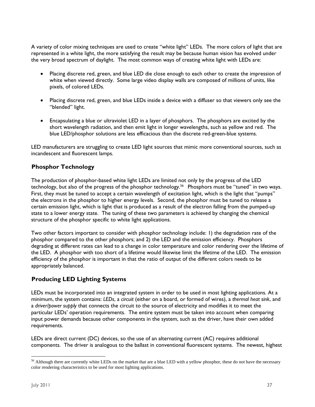A variety of color mixing techniques are used to create "white light" LEDs. The more colors of light that are represented in a white light, the more satisfying the result may be because human vision has evolved under the very broad spectrum of daylight. The most common ways of creating white light with LEDs are:

- Placing discrete red, green, and blue LED die close enough to each other to create the impression of white when viewed directly. Some large video display walls are composed of millions of units, like pixels, of colored LEDs.
- Placing discrete red, green, and blue LEDs inside a device with a diffuser so that viewers only see the "blended" light.
- Encapsulating a blue or ultraviolet LED in a layer of phosphors. The phosphors are excited by the short wavelength radiation, and then emit light in longer wavelengths, such as yellow and red. The blue LED/phosphor solutions are less efficacious than the discrete red-green-blue systems.

LED manufacturers are struggling to create LED light sources that mimic more conventional sources, such as incandescent and fluorescent lamps.

#### **Phosphor Technology**

The production of phosphor-based white light LEDs are limited not only by the progress of the LED technology, but also of the progress of the phosphor technology.<sup>56</sup> Phosphors must be "tuned" in two ways. First, they must be tuned to accept a certain wavelength of excitation light, which is the light that "pumps" the electrons in the phosphor to higher energy levels. Second, the phosphor must be tuned to release a certain emission light, which is light that is produced as a result of the electron falling from the pumped-up state to a lower energy state. The tuning of these two parameters is achieved by changing the chemical structure of the phosphor specific to white light applications.

Two other factors important to consider with phosphor technology include: 1) the degradation rate of the phosphor compared to the other phosphors; and 2) the LED and the emission efficiency. Phosphors degrading at different rates can lead to a change in color temperature and color rendering over the lifetime of the LED. A phosphor with too short of a lifetime would likewise limit the lifetime of the LED. The emission efficiency of the phosphor is important in that the ratio of output of the different colors needs to be appropriately balanced.

#### **Producing LED Lighting Systems**

LEDs must be incorporated into an integrated system in order to be used in most lighting applications. At a minimum, the system contains: *LEDs*, a *circuit* (either on a board, or formed of wires), a *thermal heat sink*, and a *driver/power supply* that connects the circuit to the source of electricity and modifies it to meet the particular LEDs' operation requirements. The entire system must be taken into account when comparing input power demands because other components in the system, such as the driver, have their own added requirements.

LEDs are direct current (DC) devices, so the use of an alternating current (AC) requires additional components. The driver is analogous to the ballast in conventional fluorescent systems. The newest, highest

<sup>-</sup><sup>56</sup> Although there are currently white LEDs on the market that are a blue LED with a yellow phosphor, these do not have the necessary color rendering characteristics to be used for most lighting applications.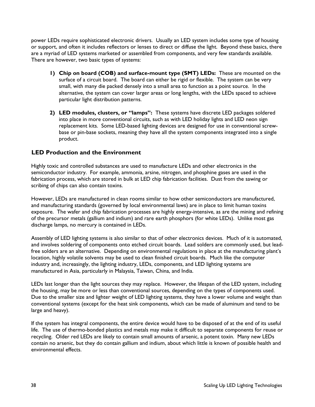power LEDs require sophisticated electronic drivers. Usually an LED system includes some type of housing or support, and often it includes reflectors or lenses to direct or diffuse the light. Beyond these basics, there are a myriad of LED systems marketed or assembled from components, and very few standards available. There are however, two basic types of systems:

- **1) Chip on board (COB) and surface-mount type (SMT) LEDs:** These are mounted on the surface of a circuit board. The board can either be rigid or flexible. The system can be very small, with many die packed densely into a small area to function as a point source. In the alternative, the system can cover larger areas or long lengths, with the LEDs spaced to achieve particular light distribution patterns.
- **2) LED modules, clusters, or "lamps":** These systems have discrete LED packages soldered into place in more conventional circuits, such as with LED holiday lights and LED neon sign replacement kits. Some LED-based lighting devices are designed for use in conventional screwbase or pin-base sockets, meaning they have all the system components integrated into a single product.

#### **LED Production and the Environment**

Highly toxic and controlled substances are used to manufacture LEDs and other electronics in the semiconductor industry. For example, ammonia, arsine, nitrogen, and phosphine gases are used in the fabrication process, which are stored in bulk at LED chip fabrication facilities. Dust from the sawing or scribing of chips can also contain toxins.

However, LEDs are manufactured in clean rooms similar to how other semiconductors are manufactured, and manufacturing standards (governed by local environmental laws) are in place to limit human toxins exposure. The wafer and chip fabrication processes are highly energy-intensive, as are the mining and refining of the precursor metals (gallium and indium) and rare earth phosphors (for white LEDs). Unlike most gas discharge lamps, no mercury is contained in LEDs.

Assembly of LED lighting systems is also similar to that of other electronics devices. Much of it is automated, and involves soldering of components onto etched circuit boards. Lead solders are commonly used, but leadfree solders are an alternative. Depending on environmental regulations in place at the manufacturing plant's location, highly volatile solvents may be used to clean finished circuit boards. Much like the computer industry and, increasingly, the lighting industry, LEDs, components, and LED lighting systems are manufactured in Asia, particularly in Malaysia, Taiwan, China, and India.

LEDs last longer than the light sources they may replace. However, the lifespan of the LED system, including the housing, may be more or less than conventional sources, depending on the types of components used. Due to the smaller size and lighter weight of LED lighting systems, they have a lower volume and weight than conventional systems (except for the heat sink components, which can be made of aluminum and tend to be large and heavy).

If the system has integral components, the entire device would have to be disposed of at the end of its useful life. The use of thermo-bonded plastics and metals may make it difficult to separate components for reuse or recycling. Older red LEDs are likely to contain small amounts of arsenic, a potent toxin. Many new LEDs contain no arsenic, but they do contain gallium and indium, about which little is known of possible health and environmental effects.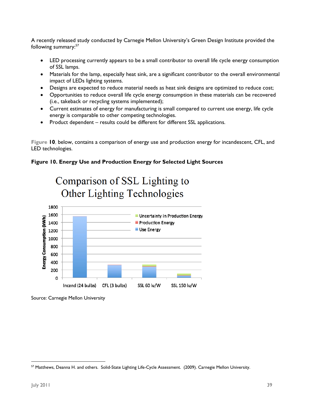A recently released study conducted by Carnegie Mellon University's Green Design Institute provided the following summary:<sup>57</sup>

- LED processing currently appears to be a small contributor to overall life cycle energy consumption of SSL lamps.
- Materials for the lamp, especially heat sink, are a significant contributor to the overall environmental impact of LEDs lighting systems.
- Designs are expected to reduce material needs as heat sink designs are optimized to reduce cost;
- Opportunities to reduce overall life cycle energy consumption in these materials can be recovered (i.e., takeback or recycling systems implemented);
- Current estimates of energy for manufacturing is small compared to current use energy, life cycle energy is comparable to other competing technologies.
- Product dependent results could be different for different SSL applications.

**Figure 10**, below, contains a comparison of energy use and production energy for incandescent, CFL, and LED technologies.

#### **Figure 10. Energy Use and Production Energy for Selected Light Sources**



Source: Carnegie Mellon University

 57 Matthews, Deanna H. and others. Solid-State Lighting Life-Cycle Assessment. (2009). Carnegie Mellon University.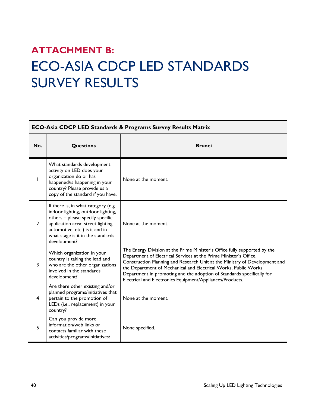### **ATTACHMENT B:**  ECO-ASIA CDCP LED STANDARDS SURVEY RESULTS

| <b>ECO-Asia CDCP LED Standards &amp; Programs Survey Results Matrix</b> |                                                                                                                                                                                                                                            |                                                                                                                                                                                                                                                                                                                                                                                                                                        |
|-------------------------------------------------------------------------|--------------------------------------------------------------------------------------------------------------------------------------------------------------------------------------------------------------------------------------------|----------------------------------------------------------------------------------------------------------------------------------------------------------------------------------------------------------------------------------------------------------------------------------------------------------------------------------------------------------------------------------------------------------------------------------------|
| No.                                                                     | <b>Questions</b>                                                                                                                                                                                                                           | <b>Brunei</b>                                                                                                                                                                                                                                                                                                                                                                                                                          |
|                                                                         | What standards development<br>activity on LED does your<br>organization do or has<br>happened/is happening in your<br>country? Please provide us a<br>copy of the standard if you have.                                                    | None at the moment.                                                                                                                                                                                                                                                                                                                                                                                                                    |
| $\overline{2}$                                                          | If there is, in what category (e.g.<br>indoor lighting, outdoor lighting,<br>others - please specify specific<br>application area: street lighting,<br>automotive, etc.) is it and in<br>what stage is it in the standards<br>development? | None at the moment.                                                                                                                                                                                                                                                                                                                                                                                                                    |
| 3                                                                       | Which organization in your<br>country is taking the lead and<br>who are the other organizations<br>involved in the standards<br>development?                                                                                               | The Energy Division at the Prime Minister's Office fully supported by the<br>Department of Electrical Services at the Prime Minister's Office,<br>Construction Planning and Research Unit at the Ministry of Development and<br>the Department of Mechanical and Electrical Works, Public Works<br>Department in promoting and the adoption of Standards specifically for<br>Electrical and Electronics Equipment/Appliances/Products. |
| $\overline{4}$                                                          | Are there other existing and/or<br>planned programs/initiatives that<br>pertain to the promotion of<br>LEDs (i.e., replacement) in your<br>country?                                                                                        | None at the moment.                                                                                                                                                                                                                                                                                                                                                                                                                    |
| 5                                                                       | Can you provide more<br>information/web links or<br>contacts familiar with these<br>activities/programs/initiatives?                                                                                                                       | None specified.                                                                                                                                                                                                                                                                                                                                                                                                                        |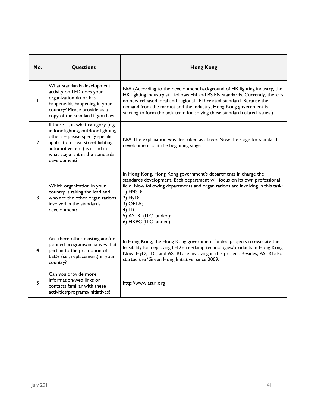| No.            | Questions                                                                                                                                                                                                                                  | <b>Hong Kong</b>                                                                                                                                                                                                                                                                                                                                                                      |  |
|----------------|--------------------------------------------------------------------------------------------------------------------------------------------------------------------------------------------------------------------------------------------|---------------------------------------------------------------------------------------------------------------------------------------------------------------------------------------------------------------------------------------------------------------------------------------------------------------------------------------------------------------------------------------|--|
| L              | What standards development<br>activity on LED does your<br>organization do or has<br>happened/is happening in your<br>country? Please provide us a<br>copy of the standard if you have.                                                    | N/A (According to the development background of HK lighting industry, the<br>HK lighting industry still follows EN and BS EN standards. Currently, there is<br>no new released local and regional LED related standard. Because the<br>demand from the market and the industry, Hong Kong government is<br>starting to form the task team for solving these standard related issues.) |  |
| $\overline{2}$ | If there is, in what category (e.g.<br>indoor lighting, outdoor lighting,<br>others - please specify specific<br>application area: street lighting,<br>automotive, etc.) is it and in<br>what stage is it in the standards<br>development? | N/A The explanation was described as above. Now the stage for standard<br>development is at the beginning stage.                                                                                                                                                                                                                                                                      |  |
| 3              | Which organization in your<br>country is taking the lead and<br>who are the other organizations<br>involved in the standards<br>development?                                                                                               | In Hong Kong, Hong Kong government's departments in charge the<br>standards development. Each department will focus on its own professional<br>field. Now following departments and organizations are involving in this task:<br>I) EMSD;<br>$2)$ HyD;<br>3) OFTA;<br>4) ITC;<br>5) ASTRI (ITC funded);<br>6) HKPC (ITC funded).                                                      |  |
| 4              | Are there other existing and/or<br>planned programs/initiatives that<br>pertain to the promotion of<br>LEDs (i.e., replacement) in your<br>country?                                                                                        | In Hong Kong, the Hong Kong government funded projects to evaluate the<br>feasibility for deploying LED streetlamp technologies/products in Hong Kong.<br>Now, HyD, ITC, and ASTRI are involving in this project. Besides, ASTRI also<br>started the 'Green Hong Initiative' since 2009.                                                                                              |  |
| 5              | Can you provide more<br>information/web links or<br>contacts familiar with these<br>activities/programs/initiatives?                                                                                                                       | http://www.astri.org                                                                                                                                                                                                                                                                                                                                                                  |  |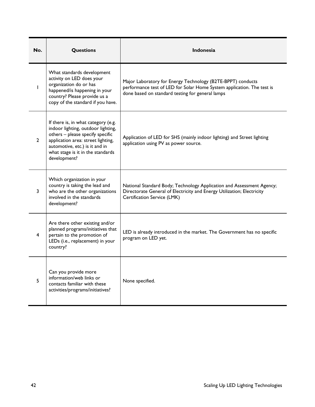| No.            | <b>Questions</b>                                                                                                                                                                                                                           | <b>Indonesia</b>                                                                                                                                                                          |  |
|----------------|--------------------------------------------------------------------------------------------------------------------------------------------------------------------------------------------------------------------------------------------|-------------------------------------------------------------------------------------------------------------------------------------------------------------------------------------------|--|
|                | What standards development<br>activity on LED does your<br>organization do or has<br>happened/is happening in your<br>country? Please provide us a<br>copy of the standard if you have.                                                    | Major Laboratory for Energy Technology (B2TE-BPPT) conducts<br>performance test of LED for Solar Home System application. The test is<br>done based on standard testing for general lamps |  |
| $\overline{2}$ | If there is, in what category (e.g.<br>indoor lighting, outdoor lighting,<br>others - please specify specific<br>application area: street lighting,<br>automotive, etc.) is it and in<br>what stage is it in the standards<br>development? | Application of LED for SHS (mainly indoor lighting) and Street lighting<br>application using PV as power source.                                                                          |  |
| 3              | Which organization in your<br>country is taking the lead and<br>who are the other organizations<br>involved in the standards<br>development?                                                                                               | National Standard Body; Technology Application and Assessment Agency;<br>Directorate General of Electricity and Energy Utilization; Electricity<br>Certification Service (LMK)            |  |
| 4              | Are there other existing and/or<br>planned programs/initiatives that<br>pertain to the promotion of<br>LEDs (i.e., replacement) in your<br>country?                                                                                        | LED is already introduced in the market. The Government has no specific<br>program on LED yet.                                                                                            |  |
| 5              | Can you provide more<br>information/web links or<br>contacts familiar with these<br>activities/programs/initiatives?                                                                                                                       | None specified.                                                                                                                                                                           |  |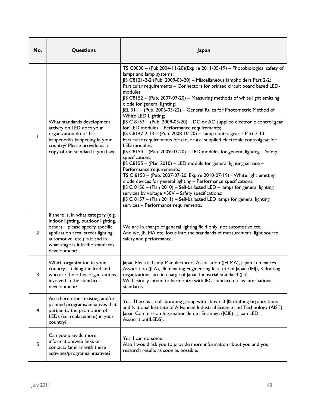| No.            | <b>Questions</b>                                                                                                                                                                                                                           | Japan                                                                                                                                                                                                                                                                                                                                                                                                                                                                                                                                                                                                                                                                                                                                                                                                                                                                                                                                                                                                                                                                                                                                                                                                                                                                                                                                                                                            |  |
|----------------|--------------------------------------------------------------------------------------------------------------------------------------------------------------------------------------------------------------------------------------------|--------------------------------------------------------------------------------------------------------------------------------------------------------------------------------------------------------------------------------------------------------------------------------------------------------------------------------------------------------------------------------------------------------------------------------------------------------------------------------------------------------------------------------------------------------------------------------------------------------------------------------------------------------------------------------------------------------------------------------------------------------------------------------------------------------------------------------------------------------------------------------------------------------------------------------------------------------------------------------------------------------------------------------------------------------------------------------------------------------------------------------------------------------------------------------------------------------------------------------------------------------------------------------------------------------------------------------------------------------------------------------------------------|--|
| L              | What standards development<br>activity on LED does your<br>organization do or has<br>happened/is happening in your<br>country? Please provide us a<br>copy of the standard if you have.                                                    | TS C0038 - (Pub.2004-11-20)(Expire 2011-05-19) - Photobiological safety of<br>lamps and lamp systems;<br>JIS C8121-2-2 (Pub. 2009-03-20) - Miscellaneous lampholders Part 2-2:<br>Particular requirements - Connectors for printed circuit board based LED-<br>modules;<br>JIS C8152 - (Pub. 2007-07-20) - Measuring methods of white light emitting<br>diode for general lighting;<br>JEL 311 - (Pub. 2006-03-22) - General Rules for Photometric Method of<br>White LED Lighting;<br>JIS C 8153 - (Pub. 2009-03-20) - DC or AC supplied electronic control gear<br>for LED modules - Performance requirements;<br>JIS C8147-2-13 - (Pub. 2008-10-20) - Lamp controlgear - Part 2-13:<br>Particular requirements for d.c. or a.c. supplied electronic controlgear for<br>LED modules;<br>JIS C8154 - (Pub. 2009-03-20) - LED modules for general lighting - Safety<br>specifications;<br>JIS C8155 - (Plan 2010) - LED module for general lighting service -<br>Performance requirements;<br>TS C 8153 - (Pub. 2007-07-20; Expire 2010-07-19) - White light emitting<br>diode devices for general lighting - Performance specifications;<br>JIS C 8156 - (Plan 2010) - Self-ballasted LED - lamps for general lighting<br>services by voltage >50V - Safety specifications;<br>JIS C 8157 - (Plan 2011) - Self-ballasted LED lamps for general lighting<br>services - Performance requirements. |  |
| $\overline{2}$ | If there is, in what category (e.g.<br>indoor lighting, outdoor lighting,<br>others - please specify specific<br>application area: street lighting,<br>automotive, etc.) is it and in<br>what stage is it in the standards<br>development? | We are in charge of general lighting field only, not automotive etc.<br>And we, JELMA etc, focus into the standards of measurement, light source<br>safety and performance.                                                                                                                                                                                                                                                                                                                                                                                                                                                                                                                                                                                                                                                                                                                                                                                                                                                                                                                                                                                                                                                                                                                                                                                                                      |  |
| 3              | Which organization in your<br>country is taking the lead and<br>who are the other organizations<br>involved in the standards<br>development?                                                                                               | Japan Electric Lamp Manufacturers Association (JELMA), Japan Luminaires<br>Association (JLA), Illuminating Engineering Institute of Japan (IEIJ), 3 drafting<br>organizations, are in charge of Japan Industrial Standard (JIS).<br>We basically intend to harmonize with IEC standard etc as international<br>standards.                                                                                                                                                                                                                                                                                                                                                                                                                                                                                                                                                                                                                                                                                                                                                                                                                                                                                                                                                                                                                                                                        |  |
| 4              | Are there other existing and/or<br>planned programs/initiatives that<br>pertain to the promotion of<br>LEDs (i.e. replacement) in your<br>country?                                                                                         | Yes. There is a collaborating group with above 3 JIS drafting organizations<br>and National Institute of Advanced Industrial Science and Technology (AIST),<br>Japan Commission Internationale de l'Éclairage (JCIE) , Japan LED<br>Association(JLEDS).                                                                                                                                                                                                                                                                                                                                                                                                                                                                                                                                                                                                                                                                                                                                                                                                                                                                                                                                                                                                                                                                                                                                          |  |
| 5              | Can you provide more<br>information/web links or<br>contacts familiar with these<br>activities/programs/initiatives?                                                                                                                       | Yes, I can do some.<br>Also I would ask you to provide more information about you and your<br>research results as soon as possible.                                                                                                                                                                                                                                                                                                                                                                                                                                                                                                                                                                                                                                                                                                                                                                                                                                                                                                                                                                                                                                                                                                                                                                                                                                                              |  |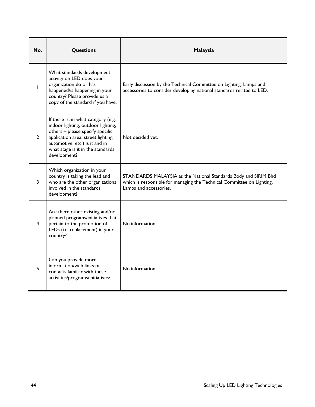| No.            | <b>Questions</b>                                                                                                                                                                                                                           | Malaysia                                                                                                                                                            |  |
|----------------|--------------------------------------------------------------------------------------------------------------------------------------------------------------------------------------------------------------------------------------------|---------------------------------------------------------------------------------------------------------------------------------------------------------------------|--|
|                | What standards development<br>activity on LED does your<br>organization do or has<br>happened/is happening in your<br>country? Please provide us a<br>copy of the standard if you have.                                                    | Early discussion by the Technical Committee on Lighting, Lamps and<br>accessories to consider developing national standards related to LED.                         |  |
| $\overline{2}$ | If there is, in what category (e.g.<br>indoor lighting, outdoor lighting,<br>others - please specify specific<br>application area: street lighting,<br>automotive, etc.) is it and in<br>what stage is it in the standards<br>development? | Not decided yet.                                                                                                                                                    |  |
| 3              | Which organization in your<br>country is taking the lead and<br>who are the other organizations<br>involved in the standards<br>development?                                                                                               | STANDARDS MALAYSIA as the National Standards Body and SIRIM Bhd<br>which is responsible for managing the Technical Committee on Lighting,<br>Lamps and accessories. |  |
| 4              | Are there other existing and/or<br>planned programs/initiatives that<br>pertain to the promotion of<br>LEDs (i.e. replacement) in your<br>country?                                                                                         | No information.                                                                                                                                                     |  |
| 5              | Can you provide more<br>information/web links or<br>contacts familiar with these<br>activities/programs/initiatives?                                                                                                                       | No information.                                                                                                                                                     |  |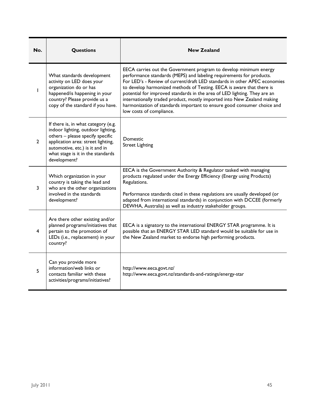| No.            | <b>Questions</b>                                                                                                                                                                                                                           | <b>New Zealand</b>                                                                                                                                                                                                                                                                                                                                                                                                                                                                                                                                             |  |
|----------------|--------------------------------------------------------------------------------------------------------------------------------------------------------------------------------------------------------------------------------------------|----------------------------------------------------------------------------------------------------------------------------------------------------------------------------------------------------------------------------------------------------------------------------------------------------------------------------------------------------------------------------------------------------------------------------------------------------------------------------------------------------------------------------------------------------------------|--|
|                | What standards development<br>activity on LED does your<br>organization do or has<br>happened/is happening in your<br>country? Please provide us a<br>copy of the standard if you have.                                                    | EECA carries out the Government program to develop minimum energy<br>performance standards (MEPS) and labeling requirements for products.<br>For LED's - Review of current/draft LED standards in other APEC economies<br>to develop harmonized methods of Testing. EECA is aware that there is<br>potential for improved standards in the area of LED lighting. They are an<br>internationally traded product, mostly imported into New Zealand making<br>harmonization of standards important to ensure good consumer choice and<br>low costs of compliance. |  |
| $\overline{2}$ | If there is, in what category (e.g.<br>indoor lighting, outdoor lighting,<br>others - please specify specific<br>application area: street lighting,<br>automotive, etc.) is it and in<br>what stage is it in the standards<br>development? | Domestic<br><b>Street Lighting</b>                                                                                                                                                                                                                                                                                                                                                                                                                                                                                                                             |  |
| 3              | Which organization in your<br>country is taking the lead and<br>who are the other organizations<br>involved in the standards<br>development?                                                                                               | EECA is the Government Authority & Regulator tasked with managing<br>products regulated under the Energy Efficiency (Energy using Products)<br>Regulations.<br>Performance standards cited in these regulations are usually developed (or<br>adapted from international standards) in conjunction with DCCEE (formerly<br>DEWHA, Australia) as well as industry stakeholder groups.                                                                                                                                                                            |  |
| 4              | Are there other existing and/or<br>planned programs/initiatives that<br>pertain to the promotion of<br>LEDs (i.e., replacement) in your<br>country?                                                                                        | EECA is a signatory to the international ENERGY STAR programme. It is<br>possible that an ENERGY STAR LED standard would be suitable for use in<br>the New Zealand market to endorse high performing products.                                                                                                                                                                                                                                                                                                                                                 |  |
| 5              | Can you provide more<br>information/web links or<br>contacts familiar with these<br>activities/programs/initiatives?                                                                                                                       | http://www.eeca.govt.nz/<br>http://www.eeca.govt.nz/standards-and-ratings/energy-star                                                                                                                                                                                                                                                                                                                                                                                                                                                                          |  |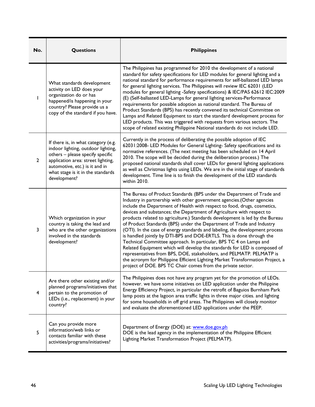| No.          | <b>Questions</b>                                                                                                                                                                                                                           | <b>Philippines</b>                                                                                                                                                                                                                                                                                                                                                                                                                                                                                                                                                                                                                                                                                                                                                                                                                                                                                                                                                                                   |
|--------------|--------------------------------------------------------------------------------------------------------------------------------------------------------------------------------------------------------------------------------------------|------------------------------------------------------------------------------------------------------------------------------------------------------------------------------------------------------------------------------------------------------------------------------------------------------------------------------------------------------------------------------------------------------------------------------------------------------------------------------------------------------------------------------------------------------------------------------------------------------------------------------------------------------------------------------------------------------------------------------------------------------------------------------------------------------------------------------------------------------------------------------------------------------------------------------------------------------------------------------------------------------|
| L            | What standards development<br>activity on LED does your<br>organization do or has<br>happened/is happening in your<br>country? Please provide us a<br>copy of the standard if you have.                                                    | The Philippines has programmed for 2010 the development of a national<br>standard for safety specifications for LED modules for general lighting and a<br>national standard for performance requirements for self-ballasted LED lamps<br>for general lighting services. The Philippines will review IEC 62031 (LED<br>modules for general lighting -Safety specifications) & IEC/PAS 62612 IEC:2009<br>(E) (Self-ballasted LED-Lamps for general lighting services-Performance<br>requirements for possible adoption as national standard. The Bureau of<br>Product Standards (BPS) has recently convened its technical Committee on<br>Lamps and Related Equipment to start the standard development process for<br>LED products. This was triggered with requests from various sectors. The<br>scope of related existing Philippine National standards do not include LED.                                                                                                                         |
| $\mathbf{2}$ | If there is, in what category (e.g.<br>indoor lighting, outdoor lighting,<br>others - please specify specific<br>application area: street lighting,<br>automotive, etc.) is it and in<br>what stage is it in the standards<br>development? | Currently in the process of deliberating the possible adoption of IEC<br>62031:2008- LED Modules for General Lighting- Safety specifications and its<br>normative references. (The next meeting has been scheduled on 14 April<br>2010. The scope will be decided during the deliberation process.) The<br>proposed national standards shall cover LEDs for general lighting applications<br>as well as Christmas lights using LEDs. We are in the initial stage of standards<br>development. Time line is to finish the development of the LED standards<br>within 2010.                                                                                                                                                                                                                                                                                                                                                                                                                            |
| 3            | Which organization in your<br>country is taking the lead and<br>who are the other organizations<br>involved in the standards<br>development?                                                                                               | The Bureau of Product Standards (BPS under the Department of Trade and<br>Industry in partnership with other government agencies. (Other agencies<br>include the Department of Health with respect to food, drugs, cosmetics,<br>devices and substances; the Department of Agriculture with respect to<br>products related to agriculture.) Standards development is led by the Bureau<br>of Product Standards (BPS) under the Department of Trade and Industry<br>(OTI). In the case of energy standards and labeling, the development process<br>is handled jointly by DTI-BPS and DOE-ERTLS. This is done through the<br>Technical Committee approach. In particular, BPS TC 4 on Lamps and<br>Related Equipment which will develop the standards for LED is composed of<br>representatives from BPS, DOE, stakeholders, and PELMATP. PELMATP is<br>the acronym for Philippine Efficient Lighting Market Transformation Project, a<br>project of DOE. BPS TC Chair comes from the private sector. |
| 4            | Are there other existing and/or<br>planned programs/initiatives that<br>pertain to the promotion of<br>LEDs (i.e., replacement) in your<br>country?                                                                                        | The Philippines does not have any program yet for the promotion of LEOs.<br>however. we have some initiatives on LED application under the Philippine<br>Energy Efficiency Project, in particular the retrofit of Baguios Burnham Park<br>lamp posts at the lagoon area traffic lights in three major cities. and lighting<br>for some households in off grid areas. The Philippines will closely monitor<br>and evaluate the aforementioned LED applications under the PEEP.                                                                                                                                                                                                                                                                                                                                                                                                                                                                                                                        |
| 5            | Can you provide more<br>information/web links or<br>contacts familiar with these<br>activities/programs/initiatives?                                                                                                                       | Department of Energy (DOE) at: www.doe.gov.ph<br>DOE is the lead agency in the implementation of the Philippine Efficient<br>Lighting Market Transformation Project (PELMATP).                                                                                                                                                                                                                                                                                                                                                                                                                                                                                                                                                                                                                                                                                                                                                                                                                       |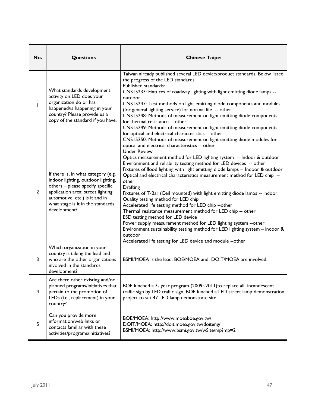| No.          | <b>Questions</b>                                                                                                                                                                                                                           | <b>Chinese Taipei</b>                                                                                                                                                                                                                                                                                                                                                                                                                                                                                                                                                                                                                                                                                                                                                                                                                                                                                                                                                                              |  |
|--------------|--------------------------------------------------------------------------------------------------------------------------------------------------------------------------------------------------------------------------------------------|----------------------------------------------------------------------------------------------------------------------------------------------------------------------------------------------------------------------------------------------------------------------------------------------------------------------------------------------------------------------------------------------------------------------------------------------------------------------------------------------------------------------------------------------------------------------------------------------------------------------------------------------------------------------------------------------------------------------------------------------------------------------------------------------------------------------------------------------------------------------------------------------------------------------------------------------------------------------------------------------------|--|
|              | What standards development<br>activity on LED does your<br>organization do or has<br>happened/is happening in your<br>country? Please provide us a<br>copy of the standard if you have.                                                    | Taiwan already published several LED device/product standards. Below listed<br>the progress of the LED standards.<br>Published standards:<br>CNS15233: Fixtures of roadway lighting with light emitting diode lamps --<br>outdoor<br>CNS15247: Test methods on light emitting diode components and modules<br>(for general lighting service) for normal life -- other<br>CNS15248: Methods of measurement on light emitting diode components<br>for thermal resistance -- other<br>CNS15249: Methods of measurement on light emitting diode components<br>for optical and electrical characteristics -- other                                                                                                                                                                                                                                                                                                                                                                                      |  |
| $\mathbf{2}$ | If there is, in what category (e.g.<br>indoor lighting, outdoor lighting,<br>others - please specify specific<br>application area: street lighting,<br>automotive, etc.) is it and in<br>what stage is it in the standards<br>development? | CNS15250: Methods of measurement on light emitting diode modules for<br>optical and electrical characteristics -- other<br><b>Under Review</b><br>Optics measurement method for LED lighting system -- Indoor & outdoor<br>Environment and reliability testing method for LED devices -- other<br>Fixtures of flood lighting with light emitting diode lamps -- Indoor & outdoor<br>Optical and electrical characteristics measurement method for LED chip --<br>other<br>Drafting<br>Fixtures of T-Bar (Ceil mounted) with light emitting diode lamps -- indoor<br>Quality testing method for LED chip<br>Accelerated life testing method for LED chip -- other<br>Thermal resistance measurement method for LED chip -- other<br>ESD testing method for LED device<br>Power supply measurement method for LED lighting system --other<br>Environment sustainability testing method for LED lighting system $-$ indoor &<br>outdoor<br>Accelerated life testing for LED device and module --other |  |
| 3            | Which organization in your<br>country is taking the lead and<br>who are the other organizations<br>involved in the standards<br>development?                                                                                               | BSMI/MOEA is the lead. BOE/MOEA and DOIT/MOEA are involved.                                                                                                                                                                                                                                                                                                                                                                                                                                                                                                                                                                                                                                                                                                                                                                                                                                                                                                                                        |  |
| 4            | Are there other existing and/or<br>planned programs/initiatives that<br>pertain to the promotion of<br>LEDs (i.e., replacement) in your<br>country?                                                                                        | BOE lunched a 3- year program (2009~2011) to replace all incandescent<br>traffic sign by LED traffic sign. BOE lunched a LED street lamp demonstration<br>project to set 47 LED lamp demonstrate site.                                                                                                                                                                                                                                                                                                                                                                                                                                                                                                                                                                                                                                                                                                                                                                                             |  |
| 5            | Can you provide more<br>information/web links or<br>contacts familiar with these<br>activities/programs/initiatives?                                                                                                                       | BOE/MOEA: http://www.moeaboe.gov.tw/<br>DOIT/MOEA: http://doit.moea.gov.tw/doiteng/<br>BSMI/MOEA: http://www.bsmi.gov.tw/wSite/mp?mp=2                                                                                                                                                                                                                                                                                                                                                                                                                                                                                                                                                                                                                                                                                                                                                                                                                                                             |  |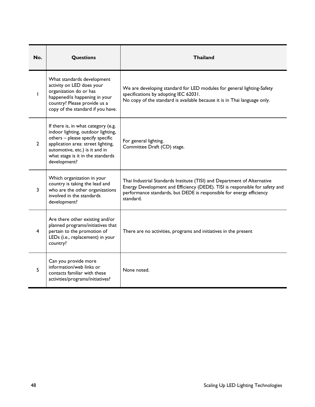| No.            | Questions                                                                                                                                                                                                                                  | <b>Thailand</b>                                                                                                                                                                                                                               |  |
|----------------|--------------------------------------------------------------------------------------------------------------------------------------------------------------------------------------------------------------------------------------------|-----------------------------------------------------------------------------------------------------------------------------------------------------------------------------------------------------------------------------------------------|--|
| L              | What standards development<br>activity on LED does your<br>organization do or has<br>happened/is happening in your<br>country? Please provide us a<br>copy of the standard if you have.                                                    | We are developing standard for LED modules for general lighting-Safety<br>specifications by adopting IEC 62031.<br>No copy of the standard is available because it is in Thai language only.                                                  |  |
| $\overline{2}$ | If there is, in what category (e.g.<br>indoor lighting, outdoor lighting,<br>others - please specify specific<br>application area: street lighting,<br>automotive, etc.) is it and in<br>what stage is it in the standards<br>development? | For general lighting.<br>Committee Draft (CD) stage.                                                                                                                                                                                          |  |
| 3              | Which organization in your<br>country is taking the lead and<br>who are the other organizations<br>involved in the standards<br>development?                                                                                               | Thai Industrial Standards Institute (TISI) and Department of Alternative<br>Energy Development and Efficiency (DEDE). TISI is responsible for safety and<br>performance standards, but DEDE is responsible for energy efficiency<br>standard. |  |
| 4              | Are there other existing and/or<br>planned programs/initiatives that<br>pertain to the promotion of<br>LEDs (i.e., replacement) in your<br>country?                                                                                        | There are no activities, programs and initiatives in the present                                                                                                                                                                              |  |
| 5              | Can you provide more<br>information/web links or<br>contacts familiar with these<br>activities/programs/initiatives?                                                                                                                       | None noted.                                                                                                                                                                                                                                   |  |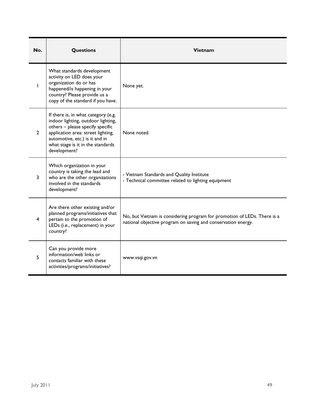| No.          | Questions                                                                                                                                                                                                                                  | Vietnam                                                                                                                                   |
|--------------|--------------------------------------------------------------------------------------------------------------------------------------------------------------------------------------------------------------------------------------------|-------------------------------------------------------------------------------------------------------------------------------------------|
| L            | What standards development<br>activity on LED does your<br>organization do or has<br>happened/is happening in your<br>country? Please provide us a<br>copy of the standard if you have.                                                    | None yet.                                                                                                                                 |
| $\mathbf{2}$ | If there is, in what category (e.g.<br>indoor lighting, outdoor lighting,<br>others - please specify specific<br>application area: street lighting,<br>automotive, etc.) is it and in<br>what stage is it in the standards<br>development? | None noted.                                                                                                                               |
| 3            | Which organization in your<br>country is taking the lead and<br>who are the other organizations<br>involved in the standards<br>development?                                                                                               | - Vietnam Standards and Quality Institute<br>- Technical committee related to lighting equipment                                          |
| 4            | Are there other existing and/or<br>planned programs/initiatives that<br>pertain to the promotion of<br>LEDs (i.e., replacement) in your<br>country?                                                                                        | No, but Vietnam is considering program for promotion of LEDs. There is a<br>national objective program on saving and conservation energy. |
| 5            | Can you provide more<br>information/web links or<br>contacts familiar with these<br>activities/programs/initiatives?                                                                                                                       | www.vsqi.gov.vn                                                                                                                           |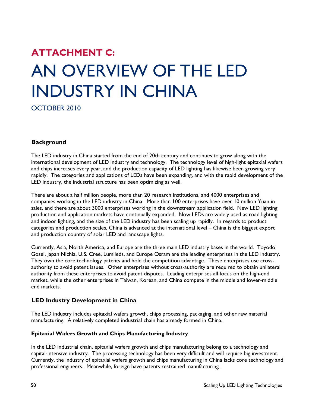# **ATTACHMENT C:**  AN OVERVIEW OF THE LED INDUSTRY IN CHINA

OCTOBER 2010

#### **Background**

The LED industry in China started from the end of 20th century and continues to grow along with the international development of LED industry and technology. The technology level of high-light epitaxial wafers and chips increases every year, and the production capacity of LED lighting has likewise been growing very rapidly. The categories and applications of LEDs have been expanding, and with the rapid development of the LED industry, the industrial structure has been optimizing as well.

There are about a half million people, more than 20 research institutions, and 4000 enterprises and companies working in the LED industry in China. More than 100 enterprises have over 10 million Yuan in sales, and there are about 3000 enterprises working in the downstream application field. New LED lighting production and application markets have continually expanded. Now LEDs are widely used as road lighting and indoor lighting, and the size of the LED industry has been scaling up rapidly. In regards to product categories and production scales, China is advanced at the international level – China is the biggest export and production country of solar LED and landscape lights.

Currently, Asia, North America, and Europe are the three main LED industry bases in the world. Toyodo Gosei, Japan Nichia, U.S. Cree, Lumileds, and Europe Osram are the leading enterprises in the LED industry. They own the core technology patents and hold the competition advantage. These enterprises use crossauthority to avoid patent issues. Other enterprises without cross-authority are required to obtain unilateral authority from these enterprises to avoid patent disputes. Leading enterprises all focus on the high-end market, while the other enterprises in Taiwan, Korean, and China compete in the middle and lower-middle end markets.

#### **LED Industry Development in China**

The LED industry includes epitaxial wafers growth, chips processing, packaging, and other raw material manufacturing. A relatively completed industrial chain has already formed in China.

#### **Epitaxial Wafers Growth and Chips Manufacturing Industry**

In the LED industrial chain, epitaxial wafers growth and chips manufacturing belong to a technology and capital-intensive industry. The processing technology has been very difficult and will require big investment. Currently, the industry of epitaxial wafers growth and chips manufacturing in China lacks core technology and professional engineers. Meanwhile, foreign have patents restrained manufacturing.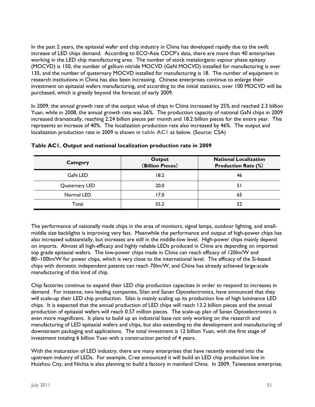In the past 2 years, the epitaxial wafer and chip industry in China has developed rapidly due to the swift increase of LED chips demand. According to ECO-Asia CDCP's data, there are more than 40 enterprises working in the LED chip manufacturing area. The number of stock metalorganic vapour phase epitaxy (MOCVD) is 150, the number of gallium nitride MOCVD (GaN MOCVD) installed for manufacturing is over 135, and the number of quaternary MOCVD installed for manufacturing is 18. The number of equipment in research institutions in China has also been increasing. Chinese enterprises continue to enlarge their investment on epitaxial wafers manufacturing, and according to the initial statistics, over 100 MOCVD will be purchased, which is greatly beyond the forecast of early 2009.

In 2009, the annual growth rate of the output value of chips in China increased by 25% and reached 2.3 billion Yuan, while in 2008, the annual growth rate was 26%. The production capacity of national GaN chips in 2009 increased dramatically, reaching 2.24 billion pieces per month and 18.2 billion pieces for the entire year. This represents an increase of 40%. The localization production rate also increased by 46%. The output and localization production rate in 2009 is shown in **table AC1** as below. (Source: CSA)

| Category       | Output<br>(Billion Pieces) | <b>National Localization</b><br><b>Production Rate (%)</b> |
|----------------|----------------------------|------------------------------------------------------------|
| <b>GaN LED</b> | 18.2                       | 46                                                         |
| Quaternary LED | 20.0                       | 51                                                         |
| Normal LED     | 17.0                       | 65                                                         |
| Total          | 55.2                       | 52                                                         |

#### **Table AC1. Output and national localization production rate in 2009**

The performance of nationally made chips in the area of monitors, signal lamps, outdoor lighting, and smallmiddle size backlights is improving very fast. Meanwhile the performance and output of high-power chips has also increased substantially, but increases are still in the middle-low level. High-power chips mainly depend on imports. Almost all high-efficacy and highly reliable LEDs produced in China are depending on imported top grade epitaxial wafers. The low-power chips made in China can reach efficacy of 120lm/W and 80~100lm/W for power chips, which is very close to the international level. The efficacy of the Si-based chips with domestic independent patents can reach 70lm/W, and China has already achieved large-scale manufacturing of this kind of chip.

Chip factories continue to expand their LED chip production capacities in order to respond to increases in demand. For instance, two leading companies, Silan and Sanan Optoelectronics, have announced that they will scale-up their LED chip production. Silan is mainly scaling up its production line of high luminance LED chips. It is expected that the annual production of LED chips will reach 13.2 billion pieces and the annual production of epitaxial wafers will reach 0.57 million pieces. The scale-up plan of Sanan Optoelectronics is even more magnificent. It plans to build up an industrial base not only working on the research and manufacturing of LED epitaxial wafers and chips, but also extending to the development and manufacturing of downstream packaging and applications. The total investment is 12 billion Yuan, with the first stage of investment totaling 6 billion Yuan with a construction period of 4 years.

With the maturation of LED industry, there are many enterprises that have recently entered into the upstream industry of LEDs. For example, Cree announced it will build an LED chip production line in Huizhou City, and Nichia is also planning to build a factory in mainland China. In 2009, Taiwanese enterprise,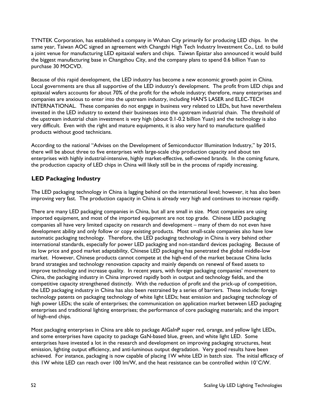TYNTEK Corporation, has established a company in Wuhan City primarily for producing LED chips. In the same year, Taiwan AOC signed an agreement with Changzhi High Tech Industry Investment Co., Ltd. to build a joint venue for manufacturing LED epitaxial wafers and chips. Taiwan Epistar also announced it would build the biggest manufacturing base in Changzhou City, and the company plans to spend 0.6 billion Yuan to purchase 30 MOCVD.

Because of this rapid development, the LED industry has become a new economic growth point in China. Local governments are thus all supportive of the LED industry's development. The profit from LED chips and epitaxial wafers accounts for about 70% of the profit for the whole industry; therefore, many enterprises and companies are anxious to enter into the upstream industry, including HAN'S LASER and ELEC-TECH INTERNATIONAL. These companies do not engage in business very related to LEDs, but have nevertheless invested in the LED industry to extend their businesses into the upstream industrial chain. The threshold of the upstream industrial chain investment is very high (about 0.1-0.2 billion Yuan) and the technology is also very difficult. Even with the right and mature equipments, it is also very hard to manufacture qualified products without good technicians.

According to the national "Advises on the Development of Semiconductor Illumination Industry," by 2015, there will be about three to five enterprises with large-scale chip production capacity and about ten enterprises with highly industrial-intensive, highly market-effective, self-owned brands. In the coming future, the production capacity of LED chips in China will likely still be in the process of rapidly increasing.

#### **LED Packaging Industry**

The LED packaging technology in China is lagging behind on the international level; however, it has also been improving very fast. The production capacity in China is already very high and continues to increase rapidly.

There are many LED packaging companies in China, but all are small in size. Most companies are using imported equipment, and most of the imported equipment are not top grade. Chinese LED packaging companies all have very limited capacity on research and development – many of them do not even have development ability and only follow or copy existing products. Most small-scale companies also have low automatic packaging technology. Therefore, the LED packaging technology in China is very behind other international standards, especially for power LED packaging and non-standard devices packaging. Because of its low price and good market adaptability, Chinese LED packaging has penetrated the global middle-low market. However, Chinese products cannot compete at the high-end of the market because China lacks brand strategies and technology renovation capacity and mainly depends on renewal of fixed assets to improve technology and increase quality. In recent years, with foreign packaging companies' movement to China, the packaging industry in China improved rapidly both in output and technology fields, and the competitive capacity strengthened distinctly. With the reduction of profit and the prick-up of competition, the LED packaging industry in China has also been restrained by a series of barriers. These include: foreign technology patents on packaging technology of white light LEDs; heat emission and packaging technology of high power LEDs; the scale of enterprises; the communication on application market between LED packaging enterprises and traditional lighting enterprises; the performance of core packaging materials; and the import of high-end chips.

Most packaging enterprises in China are able to package AlGaInP super red, orange, and yellow light LEDs, and some enterprises have capacity to package GaN-based blue, green, and white light LED. Some enterprises have invested a lot in the research and development on improving packaging structures, heat emission, lighting output efficiency, and anti-luminous output degradation. Very good results have been achieved. For instance, packaging is now capable of placing 1W white LED in batch size. The initial efficacy of this 1W white LED can reach over 100 lm/W, and the heat resistance can be controlled within 10˚C/W.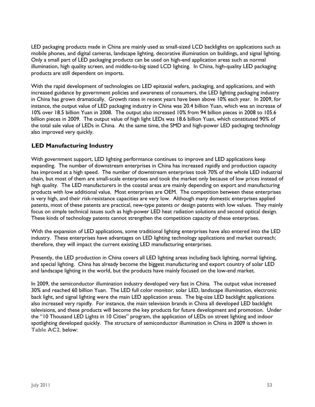LED packaging products made in China are mainly used as small-sized LCD backlights on applications such as mobile phones, and digital cameras, landscape lighting, decorative illumination on buildings, and signal lighting. Only a small part of LED packaging products can be used on high-end application areas such as normal illumination, high quality screen, and middle-to-big sized LCD lighting. In China, high-quality LED packaging products are still dependent on imports.

With the rapid development of technologies on LED epitaxial wafers, packaging, and applications, and with increased guidance by government policies and awareness of consumers, the LED lighting packaging industry in China has grown dramatically. Growth rates in recent years have been above 10% each year. In 2009, for instance, the output value of LED packaging industry in China was 20.4 billion Yuan, which was an increase of 10% over 18.5 billion Yuan in 2008. The output also increased 10% from 94 billion pieces in 2008 to 105.6 billion pieces in 2009. The output value of high light LEDs was 18.6 billion Yuan, which constituted 90% of the total sale value of LEDs in China. At the same time, the SMD and high-power LED packaging technology also improved very quickly.

#### **LED Manufacturing Industry**

With government support, LED lighting performance continues to improve and LED applications keep expanding. The number of downstream enterprises in China has increased rapidly and production capacity has improved at a high speed. The number of downstream enterprises took 70% of the whole LED industrial chain, but most of them are small-scale enterprises and took the market only because of low prices instead of high quality. The LED manufacturers in the coastal areas are mainly depending on export and manufacturing products with low additional value. Most enterprises are OEM. The competition between these enterprises is very high, and their risk-resistance capacities are very low. Although many domestic enterprises applied patents, most of these patents are practical, new-type patents or design patents with low values. They mainly focus on simple technical issues such as high-power LED heat radiation solutions and second optical design. These kinds of technology patents cannot strengthen the competition capacity of these enterprises.

With the expansion of LED applications, some traditional lighting enterprises have also entered into the LED industry. These enterprises have advantages on LED lighting technology applications and market outreach; therefore, they will impact the current existing LED manufacturing enterprises.

Presently, the LED production in China covers all LED lighting areas including back lighting, normal lighting, and special lighting. China has already become the biggest manufacturing and export country of solar LED and landscape lighting in the world, but the products have mainly focused on the low-end market.

In 2009, the semiconductor illumination industry developed very fast in China. The output value increased 30% and reached 60 billion Yuan. The LED full color monitor, solar LED, landscape illumination, electronic back light, and signal lighting were the main LED application areas. The big-size LED backlight applications also increased very rapidly. For instance, the main television brands in China all developed LED backlight televisions, and these products will become the key products for future development and promotion. Under the "10 Thousand LED Lights in 10 Cities" program, the application of LEDs on street lighting and indoor spotlighting developed quickly. The structure of semiconductor illumination in China in 2009 is shown in **Table AC2**, below: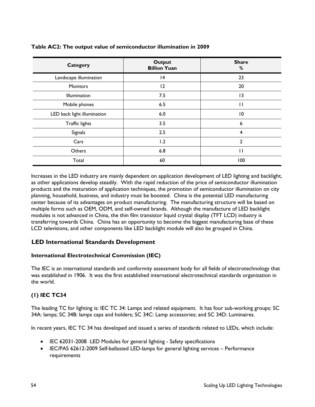| <b>Category</b>             | <b>Output</b><br><b>Billion Yuan</b> | <b>Share</b><br>% |
|-----------------------------|--------------------------------------|-------------------|
| Landscape illumination      | 4                                    | 23                |
| Monitors                    | 12                                   | 20                |
| Illumination                | 7.5                                  | 13                |
| Mobile phones               | 6.5                                  | П                 |
| LED back light illumination | 6.0                                  | 10                |
| Traffic lights              | 3.5                                  | 6                 |
| Signals                     | 2.5                                  | $\overline{4}$    |
| Cars                        | 1.2                                  | $\mathbf{2}$      |
| Others                      | 6.8                                  | $\mathbf{I}$      |
| Total                       | 60                                   | 100               |

#### **Table AC2: The output value of semiconductor illumination in 2009**

Increases in the LED industry are mainly dependent on application development of LED lighting and backlight, as other applications develop steadily. With the rapid reduction of the price of semiconductor illumination products and the maturation of application techniques, the promotion of semiconductor illumination on city planning, household, business, and industry must be boosted. China is the potential LED manufacturing center because of its advantages on product manufacturing. The manufacturing structure will be based on multiple forms such as OEM, ODM, and self-owned brands. Although the manufacture of LED backlight modules is not advanced in China, the thin film transistor liquid crystal display (TFT LCD) industry is transferring towards China. China has an opportunity to become the biggest manufacturing base of these LCD televisions, and other components like LED backlight module will also be grouped in China.

#### **LED International Standards Development**

#### **International Electrotechnical Commission (IEC)**

The IEC is an international standards and conformity assessment body for all fields of electrotechnology that was established in 1906. It was the first established international electrotechnical standards organization in the world.

#### **(1) IEC TC34**

The leading TC for lighting is: IEC TC 34: Lamps and related equipment. It has four sub-working groups: SC 34A: lamps; SC 34B: lamps caps and holders; SC 34C: Lamp accessories; and SC 34D: Luminaires.

In recent years, IEC TC 34 has developed and issued a series of standards related to LEDs, which include:

- IEC 62031-2008 LED Modules for general lighting Safety specifications
- IEC/PAS 62612-2009 Self-ballasted LED-lamps for general lighting services Performance requirements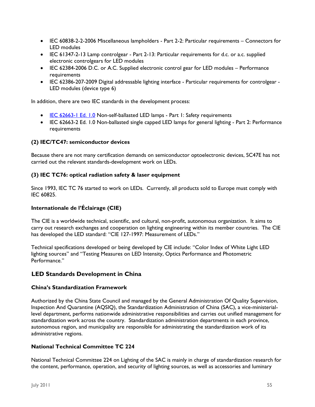- IEC 60838-2-2-2006 Miscellaneous lampholders Part 2-2: Particular requirements Connectors for LED modules
- IEC 61347-2-13 Lamp controlgear Part 2-13: Particular requirements for d.c. or a.c. supplied electronic controlgears for LED modules
- IEC 62384-2006 D.C. or A.C. Supplied electronic control gear for LED modules Performance requirements
- IEC 62386-207-2009 Digital addressable lighting interface Particular requirements for controlgear LED modules (device type 6)

In addition, there are two IEC standards in the development process:

- IEC 62663-1 Ed. 1.0 Non-self-ballasted LED lamps Part 1: Safety requirements
- IEC 62663-2 Ed. 1.0 Non-ballasted single capped LED lamps for general lighting Part 2: Performance requirements

#### **(2) IEC/TC47: semiconductor devices**

Because there are not many certification demands on semiconductor optoelectronic devices, SC47E has not carried out the relevant standards-development work on LEDs.

#### **(3) IEC TC76: optical radiation safety & laser equipment**

Since 1993, IEC TC 76 started to work on LEDs. Currently, all products sold to Europe must comply with IEC 60825.

#### **Internationale de l'Éclairage (CIE)**

The CIE is a worldwide technical, scientific, and cultural, non-profit, autonomous organization. It aims to carry out research exchanges and cooperation on lighting engineering within its member countries. The CIE has developed the LED standard: "CIE 127-1997: Measurement of LEDs."

Technical specifications developed or being developed by CIE include: "Color Index of White Light LED lighting sources" and "Testing Measures on LED Intensity, Optics Performance and Photometric Performance."

#### **LED Standards Development in China**

#### **China's Standardization Framework**

Authorized by the China State Council and managed by the General Administration Of Quality Supervision, Inspection And Quarantine (AQSIQ), the Standardization Administration of China (SAC), a vice-ministeriallevel department, performs nationwide administrative responsibilities and carries out unified management for standardization work across the country. Standardization administration departments in each province, autonomous region, and municipality are responsible for administrating the standardization work of its administrative regions.

#### **National Technical Committee TC 224**

National Technical Committee 224 on Lighting of the SAC is mainly in charge of standardization research for the content, performance, operation, and security of lighting sources, as well as accessories and luminary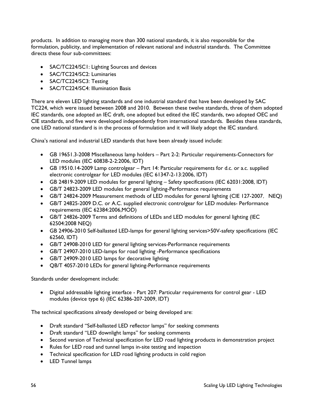products. In addition to managing more than 300 national standards, it is also responsible for the formulation, publicity, and implementation of relevant national and industrial standards. The Committee directs these four sub-committees:

- SAC/TC224/SC1: Lighting Sources and devices
- SAC/TC224/SC2: Luminaries
- SAC/TC224/SC3: Testing
- SAC/TC224/SC4: Illumination Basis

There are eleven LED lighting standards and one industrial standard that have been developed by SAC TC224, which were issued between 2008 and 2010. Between these twelve standards, three of them adopted IEC standards, one adopted an IEC draft, one adopted but edited the IEC standards, two adopted OEC and CIE standards, and five were developed independently from international standards. Besides these standards, one LED national standard is in the process of formulation and it will likely adopt the IEC standard.

China's national and industrial LED standards that have been already issued include:

- GB 19651.3-2008 Miscellaneous lamp holders Part 2-2: Particular requirements-Connectors for LED modules (IEC 60838-2-2:2006, IDT)
- GB 19510.14-2009 Lamp controlgear Part 14: Particular requirements for d.c. or a.c. supplied electronic controlgear for LED modules (IEC 61347-2-13:2006, IDT)
- GB 24819-2009 LED modules for general lighting Safety specifications (IEC 62031:2008, IDT)
- GB/T 24823-2009 LED modules for general lighting-Performance requirements
- GB/T 24824-2009 Measurement methods of LED modules for general lighting (CIE 127-2007, NEO)
- GB/T 24825-2009 D.C. or A.C. supplied electronic controlgear for LED modules- Performance requirements (IEC 62384:2006,MOD)
- GB/T 24826-2009 Terms and definitions of LEDs and LED modules for general lighting (IEC 62504:2008 NEQ)
- GB 24906-2010 Self-ballasted LED-lamps for general lighting services>50V-safety specifications (IEC 62560, IDT)
- GB/T 24908-2010 LED for general lighting services-Performance requirements
- GB/T 24907-2010 LED-lamps for road lighting -Performance specifications
- GB/T 24909-2010 LED lamps for decorative lighting
- QB/T 4057-2010 LEDs for general lighting-Performance requirements

Standards under development include:

 Digital addressable lighting interface - Part 207: Particular requirements for control gear - LED modules (device type 6) (IEC 62386-207-2009, IDT)

The technical specifications already developed or being developed are:

- Draft standard "Self-ballasted LED reflector lamps" for seeking comments
- Draft standard "LED downlight lamps" for seeking comments
- Second version of Technical specification for LED road lighting products in demonstration project
- Rules for LED road and tunnel lamps in-site testing and inspection
- Technical specification for LED road lighting products in cold region
- LED Tunnel lamps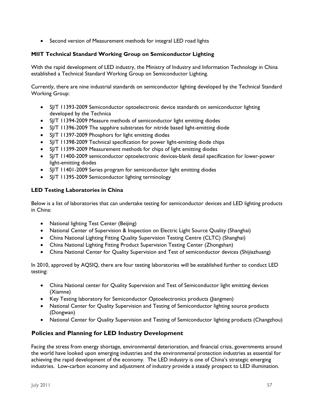• Second version of Measurement methods for integral LED road lights

#### **MIIT Technical Standard Working Group on Semiconductor Lighting**

With the rapid development of LED industry, the Ministry of Industry and Information Technology in China established a Technical Standard Working Group on Semiconductor Lighting.

Currently, there are nine industrial standards on semiconductor lighting developed by the Technical Standard Working Group:

- SJ/T 11393-2009 Semiconductor optoelectronic device standards on semiconductor lighting developed by the Technica
- SJ/T 11394-2009 Measure methods of semiconductor light emitting diodes
- SJ/T 11396-2009 The sapphire substrates for nitride based light-emitting diode
- SJ/T 11397-2009 Phosphors for light emitting diodes
- SJ/T 11398-2009 Technical specification for power light-emitting diode chips
- SJ/T 11399-2009 Measurement methods for chips of light emitting diodes
- SJ/T 11400-2009 semiconductor optoelectronic devices-blank detail specification for lower-power light-emitting diodes
- SJ/T 11401-2009 Series program for semiconductor light emitting diodes
- SJ/T 11395-2009 Semiconductor lighting terminology

#### **LED Testing Laboratories in China**

Below is a list of laboratories that can undertake testing for semiconductor devices and LED lighting products in China:

- National lighting Test Center (Beijing)
- National Center of Supervision & Inspection on Electric Light Source Quality (Shanghai)
- China National Lighting Fitting Quality Supervision Testing Centre (CLTC) (Shanghai)
- China National Lighting Fitting Product Supervision Testing Center (Zhongshan)
- China National Center for Quality Supervision and Test of semiconductor devices (Shijiazhuang)

In 2010, approved by AQSIQ, there are four testing laboratories will be established further to conduct LED testing:

- China National center for Quality Supervision and Test of Semiconductor light emitting devices (Xiamne)
- Key Testing laboratory for Semiconductor Optoelectronics products (Jiangmen)
- National Center for Quality Supervision and Testing of Semiconductor lighting source products (Dongwan)
- National Center for Quality Supervision and Testing of Semiconductor lighting products (Changzhou)

#### **Policies and Planning for LED Industry Development**

Facing the stress from energy shortage, environmental deterioration, and financial crisis, governments around the world have looked upon emerging industries and the environmental protection industries as essential for achieving the rapid development of the economy. The LED industry is one of China's strategic emerging industries. Low-carbon economy and adjustment of industry provide a steady prospect to LED illumination.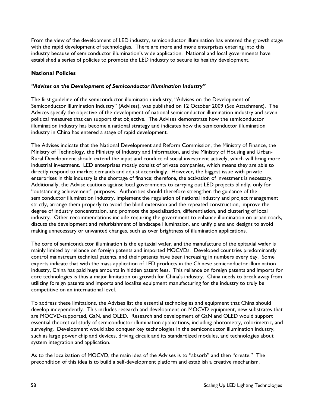From the view of the development of LED industry, semiconductor illumination has entered the growth stage with the rapid development of technologies. There are more and more enterprises entering into this industry because of semiconductor illumination's wide application. National and local governments have established a series of policies to promote the LED industry to secure its healthy development.

#### **National Policies**

#### *"Advises on the Development of Semiconductor Illumination Industry"*

The first guideline of the semiconductor illumination industry, "Advises on the Development of Semiconductor Illumination Industry" (Advises), was published on 12 October 2009 (*See* Attachment). The Advices specify the objective of the development of national semiconductor illumination industry and seven political measures that can support that objective. The Advises demonstrate how the semiconductor illumination industry has become a national strategy and indicates how the semiconductor illumination industry in China has entered a stage of rapid development.

The Advises indicate that the National Development and Reform Commission, the Ministry of Finance, the Ministry of Technology, the Ministry of Industry and Information, and the Ministry of Housing and Urban-Rural Development should extend the input and conduct of social investment actively, which will bring more industrial investment. LED enterprises mostly consist of private companies, which means they are able to directly respond to market demands and adjust accordingly. However, the biggest issue with private enterprises in this industry is the shortage of finance; therefore, the activation of investment is necessary. Additionally, the Advise cautions against local governments to carrying out LED projects blindly, only for "outstanding achievement" purposes. Authorities should therefore strengthen the guidance of the semiconductor illumination industry, implement the regulation of national industry and project management strictly, arrange them properly to avoid the blind extension and the repeated construction, improve the degree of industry concentration, and promote the specialization, differentiation, and clustering of local industry. Other recommendations include requiring the government to enhance illumination on urban roads, discuss the development and refurbishment of landscape illumination, and unify plans and designs to avoid making unnecessary or unwanted changes, such as over brightness of illumination applications.

The core of semiconductor illumination is the epitaxial wafer, and the manufacture of the epitaxial wafer is mainly limited by reliance on foreign patents and imported MOCVDs. Developed countries predominantly control mainstream technical patents, and their patents have been increasing in numbers every day. Some experts indicate that with the mass application of LED products in the Chinese semiconductor illumination industry, China has paid huge amounts in hidden patent fees. This reliance on foreign patents and imports for core technologies is thus a major limitation on growth for China's industry. China needs to break away from utilizing foreign patents and imports and localize equipment manufacturing for the industry to truly be competitive on an international level.

To address these limitations, the Advises list the essential technologies and equipment that China should develop independently. This includes research and development on MOCVD equipment, new substrates that are MOCVD-supported, GaN, and OLED. Research and development of GaN and OLED would support essential theoretical study of semiconductor illumination applications, including photometry, colorimetric, and surveying. Development would also conquer key technologies in the semiconductor illumination industry, such as large power chip and devices, driving circuit and its standardized modules, and technologies about system integration and application.

As to the localization of MOCVD, the main idea of the Advises is to "absorb" and then "create." The precondition of this idea is to build a self-development platform and establish a creative mechanism.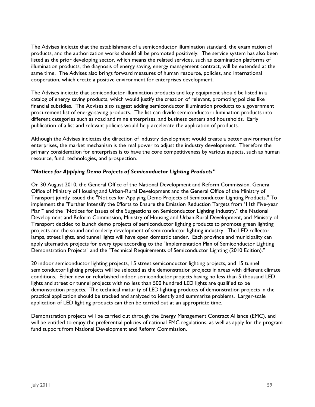The Advises indicate that the establishment of a semiconductor illumination standard, the examination of products, and the authorization works should all be promoted positively. The service system has also been listed as the prior developing sector, which means the related services, such as examination platforms of illumination products, the diagnosis of energy saving, energy management contract, will be extended at the same time. The Advises also brings forward measures of human resource, policies, and international cooperation, which create a positive environment for enterprises development.

The Advises indicate that semiconductor illumination products and key equipment should be listed in a catalog of energy saving products, which would justify the creation of relevant, promoting policies like financial subsidies. The Advises also suggest adding semiconductor illumination products to a government procurement list of energy-saving products. The list can divide semiconductor illumination products into different categories such as road and mine enterprises, and business centers and households. Early publication of a list and relevant policies would help accelerate the application of products.

Although the Advises indicates the direction of industry development would create a better environment for enterprises, the market mechanism is the real power to adjust the industry development. Therefore the primary consideration for enterprises is to have the core competitiveness by various aspects, such as human resource, fund, technologies, and prospection.

#### *"Notices for Applying Demo Projects of Semiconductor Lighting Products"*

On 30 August 2010, the General Office of the National Development and Reform Commission, General Office of Ministry of Housing and Urban-Rural Development and the General Office of the Ministry of Transport jointly issued the "Notices for Applying Demo Projects of Semiconductor Lighting Products." To implement the "Further Intensify the Efforts to Ensure the Emission Reduction Targets from '11th Five-year Plan'" and the "Notices for Issues of the Suggestions on Semiconductor Lighting Industry," the National Development and Reform Commission, Ministry of Housing and Urban-Rural Development, and Ministry of Transport decided to launch demo projects of semiconductor lighting products to promote green lighting projects and the sound and orderly development of semiconductor lighting industry. The LED reflector lamps, street lights, and tunnel lights will have open domestic tender. Each province and municipality can apply alternative projects for every type according to the "Implementation Plan of Semiconductor Lighting Demonstration Projects" and the "Technical Requirements of Semiconductor Lighting (2010 Edition)."

20 indoor semiconductor lighting projects, 15 street semiconductor lighting projects, and 15 tunnel semiconductor lighting projects will be selected as the demonstration projects in areas with different climate conditions. Either new or refurbished indoor semiconductor projects having no less than 5 thousand LED lights and street or tunnel projects with no less than 500 hundred LED lights are qualified to be demonstration projects. The technical maturity of LED lighting products of demonstration projects in the practical application should be tracked and analyzed to identify and summarize problems. Larger-scale application of LED lighting products can then be carried out at an appropriate time.

Demonstration projects will be carried out through the Energy Management Contract Alliance (EMC), and will be entitled to enjoy the preferential policies of national EMC regulations, as well as apply for the program fund support from National Development and Reform Commission.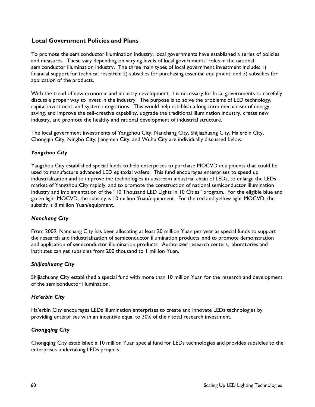#### **Local Government Policies and Plans**

To promote the semiconductor illumination industry, local governments have established a series of policies and measures. These vary depending on varying levels of local governments' roles in the national semiconductor illumination industry. The three main types of local government investment include: 1) financial support for technical research; 2) subsidies for purchasing essential equipment; and 3) subsidies for application of the products.

With the trend of new economic and industry development, it is necessary for local governments to carefully discuss a proper way to invest in the industry. The purpose is to solve the problems of LED technology, capital investment, and system integrations. This would help establish a long-term mechanism of energy saving, and improve the self-creative capability, upgrade the traditional illumination industry, create new industry, and promote the healthy and rational development of industrial structure.

The local government investments of Yangzhou City, Nanchang City, Shijiazhuang City, Ha'erbin City, Chongqin City, Ningbo City, Jiangmen City, and Wuhu City are individually discussed below.

#### *Yangzhou City*

Yangzhou City established special funds to help enterprises to purchase MOCVD equipments that could be used to manufacture advanced LED epitaxial wafers. This fund encourages enterprises to speed up industrialization and to improve the technologies in upstream industrial chain of LEDs, to enlarge the LEDs market of Yangzhou City rapidly, and to promote the construction of national semiconductor illumination industry and implementation of the "10 Thousand LED Lights in 10 Cities" program. For the eligible blue and green light MOCVD, the subsidy is 10 million Yuan/equipment. For the red and yellow light MOCVD, the subsidy is 8 million Yuan/equipment.

#### *Nanchang City*

From 2009, Nanchang City has been allocating at least 20 million Yuan per year as special funds to support the research and industrialization of semiconductor illumination products, and to promote demonstration and application of semiconductor illumination products. Authorized research centers, laboratories and institutes can get subsidies from 200 thousand to 1 million Yuan.

#### *Shijiazhuang City*

Shijiazhuang City established a special fund with more than 10 million Yuan for the research and development of the semiconductor illumination.

#### *Ha'erbin City*

Ha'erbin City encourages LEDs illumination enterprises to create and innovate LEDs technologies by providing enterprises with an incentive equal to 30% of their total research investment.

#### *Chongqing City*

Chongqing City established a 10 million Yuan special fund for LEDs technologies and provides subsidies to the enterprises undertaking LEDs projects.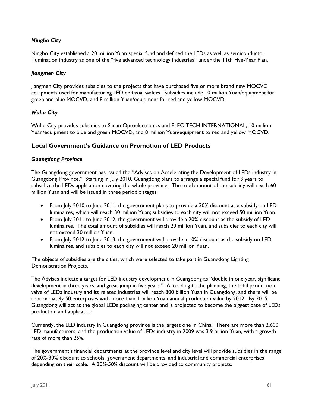#### *Ningbo City*

Ningbo City established a 20 million Yuan special fund and defined the LEDs as well as semiconductor illumination industry as one of the "five advanced technology industries" under the 11th Five-Year Plan.

#### *Jiangmen City*

Jiangmen City provides subsidies to the projects that have purchased five or more brand new MOCVD equipments used for manufacturing LED epitaxial wafers. Subsidies include 10 million Yuan/equipment for green and blue MOCVD, and 8 million Yuan/equipment for red and yellow MOCVD.

#### *Wuhu City*

Wuhu City provides subsidies to Sanan Optoelectronics and ELEC-TECH INTERNATIONAL, 10 million Yuan/equipment to blue and green MOCVD, and 8 million Yuan/equipment to red and yellow MOCVD.

#### **Local Government's Guidance on Promotion of LED Products**

#### *Guangdong Province*

The Guangdong government has issued the "Advises on Accelerating the Development of LEDs industry in Guangdong Province." Starting in July 2010, Guangdong plans to arrange a special fund for 3 years to subsidize the LEDs application covering the whole province. The total amount of the subsidy will reach 60 million Yuan and will be issued in three periodic stages:

- From July 2010 to June 2011, the government plans to provide a 30% discount as a subsidy on LED luminaires, which will reach 30 million Yuan; subsidies to each city will not exceed 50 million Yuan.
- From July 2011 to June 2012, the government will provide a 20% discount as the subsidy of LED luminaires. The total amount of subsidies will reach 20 million Yuan, and subsidies to each city will not exceed 30 million Yuan.
- From July 2012 to June 2013, the government will provide a 10% discount as the subsidy on LED luminaires, and subsidies to each city will not exceed 20 million Yuan.

The objects of subsidies are the cities, which were selected to take part in Guangdong Lighting Demonstration Projects.

The Advises indicate a target for LED industry development in Guangdong as "double in one year, significant development in three years, and great jump in five years." According to the planning, the total production valve of LEDs industry and its related industries will reach 300 billion Yuan in Guangdong, and there will be approximately 50 enterprises with more than 1 billion Yuan annual production value by 2012. By 2015, Guangdong will act as the global LEDs packaging center and is projected to become the biggest base of LEDs production and application.

Currently, the LED industry in Guangdong province is the largest one in China. There are more than 2,600 LED manufacturers, and the production value of LEDs industry in 2009 was 3.9 billion Yuan, with a growth rate of more than 25%.

The government's financial departments at the province level and city level will provide subsidies in the range of 20%-30% discount to schools, government departments, and industrial and commercial enterprises depending on their scale. A 30%-50% discount will be provided to community projects.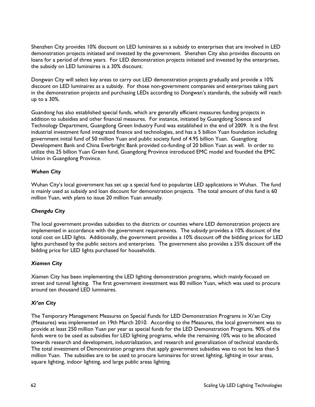Shenzhen City provides 10% discount on LED luminaires as a subsidy to enterprises that are involved in LED demonstration projects initiated and invested by the government. Shenzhen City also provides discounts on loans for a period of three years. For LED demonstration projects initiated and invested by the enterprises, the subsidy on LED luminaires is a 30% discount.

Dongwan City will select key areas to carry out LED demonstration projects gradually and provide a 10% discount on LED luminaires as a subsidy. For those non-government companies and enterprises taking part in the demonstration projects and purchasing LEDs according to Dongwan's standards, the subsidy will reach up to a 30%.

Guandong has also established special funds, which are generally efficient measures funding projects in addition to subsidies and other financial measures. For instance, initiated by Guangdong Science and Technology Department, Guangdong Green Industry Fund was established in the end of 2009. It is the first industrial investment fund integrated finance and technologies, and has a 5 billion Yuan foundation including government initial fund of 50 million Yuan and public society fund of 4.95 billion Yuan. Guangdong Development Bank and China Everbright Bank provided co-funding of 20 billion Yuan as well. In order to utilize this 25 billion Yuan Green fund, Guangdong Province introduced EMC model and founded the EMC Union in Guangdong Province.

#### *Wuhan City*

Wuhan City's local government has set up a special fund to popularize LED applications in Wuhan. The fund is mainly used as subsidy and loan discount for demonstration projects. The total amount of this fund is 60 million Yuan, with plans to issue 20 million Yuan annually.

#### *Chengdu City*

The local government provides subsidies to the districts or counties where LED demonstration projects are implemented in accordance with the government requirements. The subsidy provides a 10% discount of the total cost on LED lights. Additionally, the government provides a 10% discount off the bidding prices for LED lights purchased by the public sectors and enterprises. The government also provides a 25% discount off the bidding price for LED lights purchased for households.

#### *Xiamen City*

Xiamen City has been implementing the LED lighting demonstration programs, which mainly focused on street and tunnel lighting. The first government investment was 80 million Yuan, which was used to procure around ten thousand LED luminaires.

#### *Xi'an City*

The Temporary Management Measures on Special Funds for LED Demonstration Programs in Xi'an City (Measures) was implemented on 19th March 2010. According to the Measures, the local government was to provide at least 250 million Yuan per year as special funds for the LED Demonstration Programs. 90% of the funds were to be used as subsidies for LED lighting programs, while the remaining 10% was to be allocated towards research and development, industrialization, and research and generalization of technical standards. The total investment of Demonstration programs that apply government subsidies was to not be less than 5 million Yuan. The subsidies are to be used to procure luminaires for street lighting, lighting in tour areas, square lighting, indoor lighting, and large public areas lighting.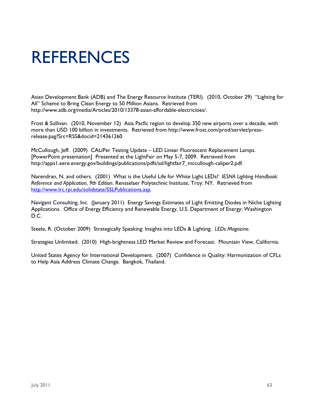# **REFERENCES**

Asian Development Bank (ADB) and The Energy Resource Institute (TERI). (2010, October 29) "Lighting for All" Scheme to Bring Clean Energy to 50 Million Asians. Retrieved from http://www.adb.org/media/Articles/2010/13378-asian-affordable-electricities/.

Frost & Sullivan. (2010, November 12) Asia Pacfic region to develop 350 new airports over a decade, with more than USD 100 billion in investments. Retrieved from http://www.frost.com/prod/servlet/pressrelease.pag?Src=RSS&docid=214361260

McCullough, Jeff. (2009) CALiPer Testing Update – LED Linear Fluorescent Replacement Lamps. [PowerPoint presentation] Presented at the LightFair on May 5-7, 2009. Retrieved from http://apps1.eere.energy.gov/buildings/publications/pdfs/ssl/lightfair7\_mccullough-caliper2.pdf.

Narendran, N. and others. (2001) What is the Useful Life for White Light LEDs? *IESNA Lighting Handbook: Reference and Application, 9th Edition*. Rensselaer Polytechnic Institute, Troy: NY. Retrieved from http://www.lrc.rpi.edu/solidstate/SSLPublications.asp.

Navigant Consulting, Inc. (January 2011) Energy Savings Estimates of Light Emitting Diodes in Niche Lighting Applications. Office of Energy Efficiency and Renewable Energy, U.S. Department of Energy: Washington D.C.

Steele, R. (October 2009) Strategically Speaking: Insights into LEDs & Lighting. *LEDs Magazine*.

Strategies Unlimited. (2010) High-brightness LED Market Review and Forecast. Mountain View, California.

United States Agency for International Development. (2007) Confidence in Quality: Harmonization of CFLs to Help Asia Address Climate Change. Bangkok, Thailand.